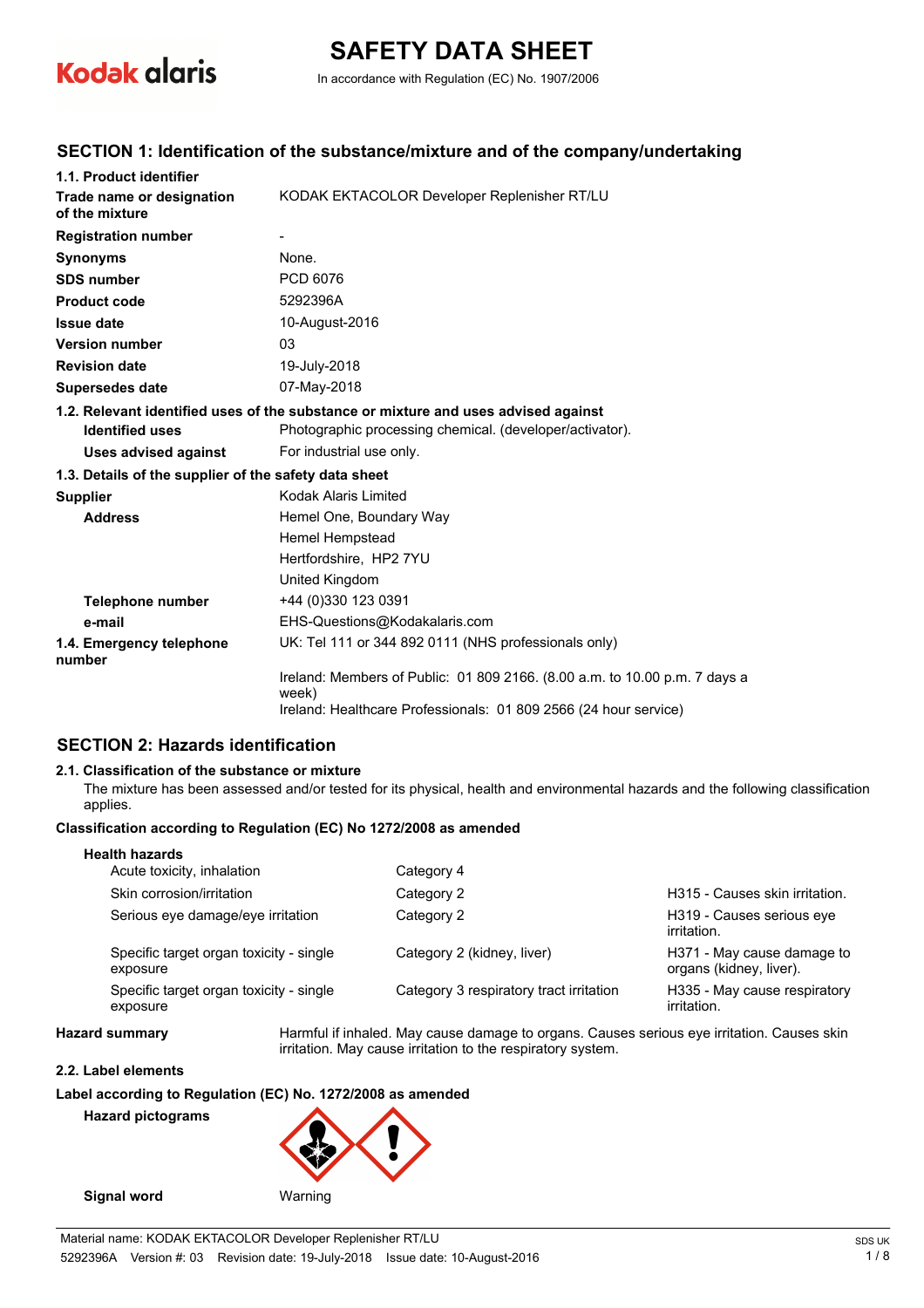

# **SAFETY DATA SHEET**

In accordance with Regulation (EC) No. 1907/2006

### **SECTION 1: Identification of the substance/mixture and of the company/undertaking**

| 1.1. Product identifier                               |                                                                                     |  |
|-------------------------------------------------------|-------------------------------------------------------------------------------------|--|
| Trade name or designation<br>of the mixture           | KODAK EKTACOLOR Developer Replenisher RT/LU                                         |  |
| <b>Registration number</b>                            |                                                                                     |  |
| <b>Synonyms</b>                                       | None.                                                                               |  |
| <b>SDS number</b>                                     | PCD 6076                                                                            |  |
| <b>Product code</b>                                   | 5292396A                                                                            |  |
| <b>Issue date</b>                                     | 10-August-2016                                                                      |  |
| <b>Version number</b>                                 | 03                                                                                  |  |
| <b>Revision date</b>                                  | 19-July-2018                                                                        |  |
| <b>Supersedes date</b>                                | 07-May-2018                                                                         |  |
|                                                       | 1.2. Relevant identified uses of the substance or mixture and uses advised against  |  |
| <b>Identified uses</b>                                | Photographic processing chemical. (developer/activator).                            |  |
| <b>Uses advised against</b>                           | For industrial use only.                                                            |  |
| 1.3. Details of the supplier of the safety data sheet |                                                                                     |  |
| <b>Supplier</b>                                       | Kodak Alaris Limited                                                                |  |
| <b>Address</b>                                        | Hemel One, Boundary Way                                                             |  |
|                                                       | Hemel Hempstead                                                                     |  |
|                                                       | Hertfordshire, HP2 7YU                                                              |  |
|                                                       | United Kingdom                                                                      |  |
| <b>Telephone number</b>                               | +44 (0)330 123 0391                                                                 |  |
| e-mail                                                | EHS-Questions@Kodakalaris.com                                                       |  |
| 1.4. Emergency telephone<br>number                    | UK: Tel 111 or 344 892 0111 (NHS professionals only)                                |  |
|                                                       | Ireland: Members of Public: 01 809 2166. (8.00 a.m. to 10.00 p.m. 7 days a<br>week) |  |
|                                                       | Ireland: Healthcare Professionals: 01 809 2566 (24 hour service)                    |  |

## **SECTION 2: Hazards identification**

#### **2.1. Classification of the substance or mixture**

The mixture has been assessed and/or tested for its physical, health and environmental hazards and the following classification applies.

#### **Classification according to Regulation (EC) No 1272/2008 as amended**

| <b>Health hazards</b>                               |                                         |                                                       |
|-----------------------------------------------------|-----------------------------------------|-------------------------------------------------------|
| Acute toxicity, inhalation                          | Category 4                              |                                                       |
| Skin corrosion/irritation                           | Category 2                              | H315 - Causes skin irritation.                        |
| Serious eye damage/eye irritation                   | Category 2                              | H319 - Causes serious eve<br>irritation.              |
| Specific target organ toxicity - single<br>exposure | Category 2 (kidney, liver)              | H371 - May cause damage to<br>organs (kidney, liver). |
| Specific target organ toxicity - single<br>exposure | Category 3 respiratory tract irritation | H335 - May cause respiratory<br>irritation.           |
|                                                     |                                         |                                                       |

**Hazard summary** Harmful if inhaled. May cause damage to organs. Causes serious eye irritation. Causes skin irritation. May cause irritation to the respiratory system.

#### **2.2. Label elements**

**Label according to Regulation (EC) No. 1272/2008 as amended**

**Hazard pictograms**

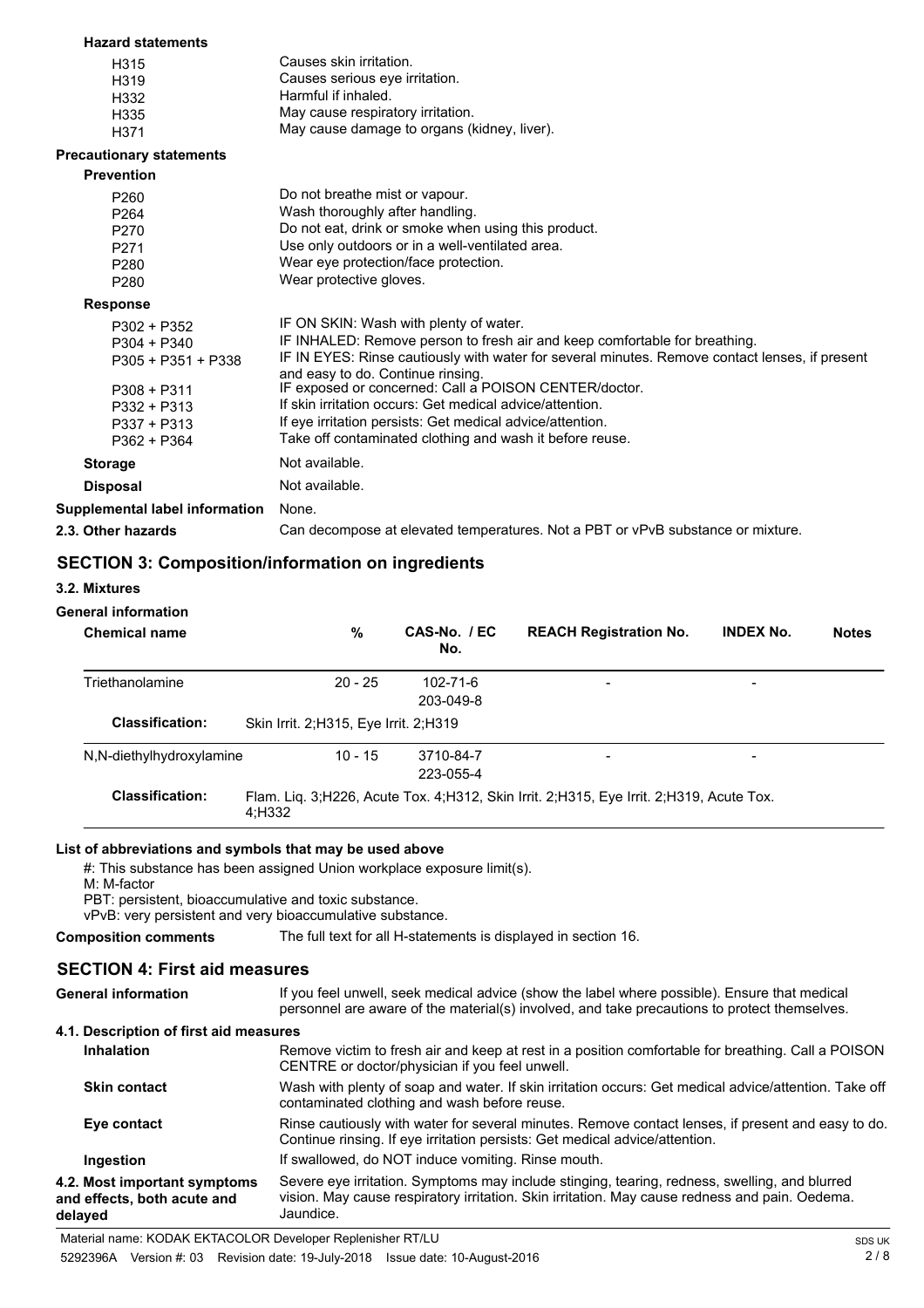| <b>Hazard statements</b>        |                                                                                                                                     |
|---------------------------------|-------------------------------------------------------------------------------------------------------------------------------------|
| H315                            | Causes skin irritation.                                                                                                             |
| H319                            | Causes serious eve irritation.                                                                                                      |
| H332                            | Harmful if inhaled.                                                                                                                 |
| H335                            | May cause respiratory irritation.                                                                                                   |
| H371                            | May cause damage to organs (kidney, liver).                                                                                         |
| <b>Precautionary statements</b> |                                                                                                                                     |
| <b>Prevention</b>               |                                                                                                                                     |
| P260                            | Do not breathe mist or vapour.                                                                                                      |
| P <sub>264</sub>                | Wash thoroughly after handling.                                                                                                     |
| P270                            | Do not eat, drink or smoke when using this product.                                                                                 |
| P271                            | Use only outdoors or in a well-ventilated area.                                                                                     |
| P <sub>280</sub>                | Wear eve protection/face protection.                                                                                                |
| P280                            | Wear protective gloves.                                                                                                             |
| <b>Response</b>                 |                                                                                                                                     |
| $P302 + P352$                   | IF ON SKIN: Wash with plenty of water.                                                                                              |
| $P304 + P340$                   | IF INHALED: Remove person to fresh air and keep comfortable for breathing.                                                          |
| P305 + P351 + P338              | IF IN EYES: Rinse cautiously with water for several minutes. Remove contact lenses, if present<br>and easy to do. Continue rinsing. |
| $P308 + P311$                   | IF exposed or concerned: Call a POISON CENTER/doctor.                                                                               |
| $P332 + P313$                   | If skin irritation occurs: Get medical advice/attention.                                                                            |
| $P337 + P313$                   | If eye irritation persists: Get medical advice/attention.                                                                           |
| $P362 + P364$                   | Take off contaminated clothing and wash it before reuse.                                                                            |
| <b>Storage</b>                  | Not available.                                                                                                                      |
| <b>Disposal</b>                 | Not available.                                                                                                                      |
| Supplemental label information  | None.                                                                                                                               |
| 2.3. Other hazards              | Can decompose at elevated temperatures. Not a PBT or vPvB substance or mixture.                                                     |
|                                 |                                                                                                                                     |

## **SECTION 3: Composition/information on ingredients**

#### **3.2. Mixtures**

#### **General information**

| <b>Chemical name</b>     | %                                       | CAS-No. / EC<br>No.    | <b>REACH Registration No.</b>                                                               | <b>INDEX No.</b> | <b>Notes</b> |
|--------------------------|-----------------------------------------|------------------------|---------------------------------------------------------------------------------------------|------------------|--------------|
| Triethanolamine          | $20 - 25$                               | 102-71-6<br>203-049-8  | $\overline{\phantom{a}}$                                                                    | -                |              |
| <b>Classification:</b>   | Skin Irrit. 2; H315, Eye Irrit. 2; H319 |                        |                                                                                             |                  |              |
| N,N-diethylhydroxylamine | $10 - 15$                               | 3710-84-7<br>223-055-4 | $\overline{\phantom{a}}$                                                                    | -                |              |
| <b>Classification:</b>   | 4;H332                                  |                        | Flam. Lig. 3; H226, Acute Tox. 4; H312, Skin Irrit. 2; H315, Eye Irrit. 2; H319, Acute Tox. |                  |              |

#### **List of abbreviations and symbols that may be used above**

#: This substance has been assigned Union workplace exposure limit(s).

M: M-factor

PBT: persistent, bioaccumulative and toxic substance.

vPvB: very persistent and very bioaccumulative substance.

**Composition comments** The full text for all H-statements is displayed in section 16.

## **SECTION 4: First aid measures**

| <b>General information</b><br>4.1. Description of first aid measures   | If you feel unwell, seek medical advice (show the label where possible). Ensure that medical<br>personnel are aware of the material(s) involved, and take precautions to protect themselves.                 |
|------------------------------------------------------------------------|--------------------------------------------------------------------------------------------------------------------------------------------------------------------------------------------------------------|
| <b>Inhalation</b>                                                      | Remove victim to fresh air and keep at rest in a position comfortable for breathing. Call a POISON<br>CENTRE or doctor/physician if you feel unwell.                                                         |
| <b>Skin contact</b>                                                    | Wash with plenty of soap and water. If skin irritation occurs: Get medical advice/attention. Take off<br>contaminated clothing and wash before reuse.                                                        |
| Eye contact                                                            | Rinse cautiously with water for several minutes. Remove contact lenses, if present and easy to do.<br>Continue rinsing. If eye irritation persists: Get medical advice/attention.                            |
| Ingestion                                                              | If swallowed, do NOT induce vomiting. Rinse mouth.                                                                                                                                                           |
| 4.2. Most important symptoms<br>and effects, both acute and<br>delayed | Severe eye irritation. Symptoms may include stinging, tearing, redness, swelling, and blurred<br>vision. May cause respiratory irritation. Skin irritation. May cause redness and pain. Oedema.<br>Jaundice. |

Material name: KODAK EKTACOLOR Developer Replenisher RT/LU SDS UK SOS UK

5292396A Version #: 03 Revision date: 19-July-2018 Issue date: 10-August-2016 2 / 8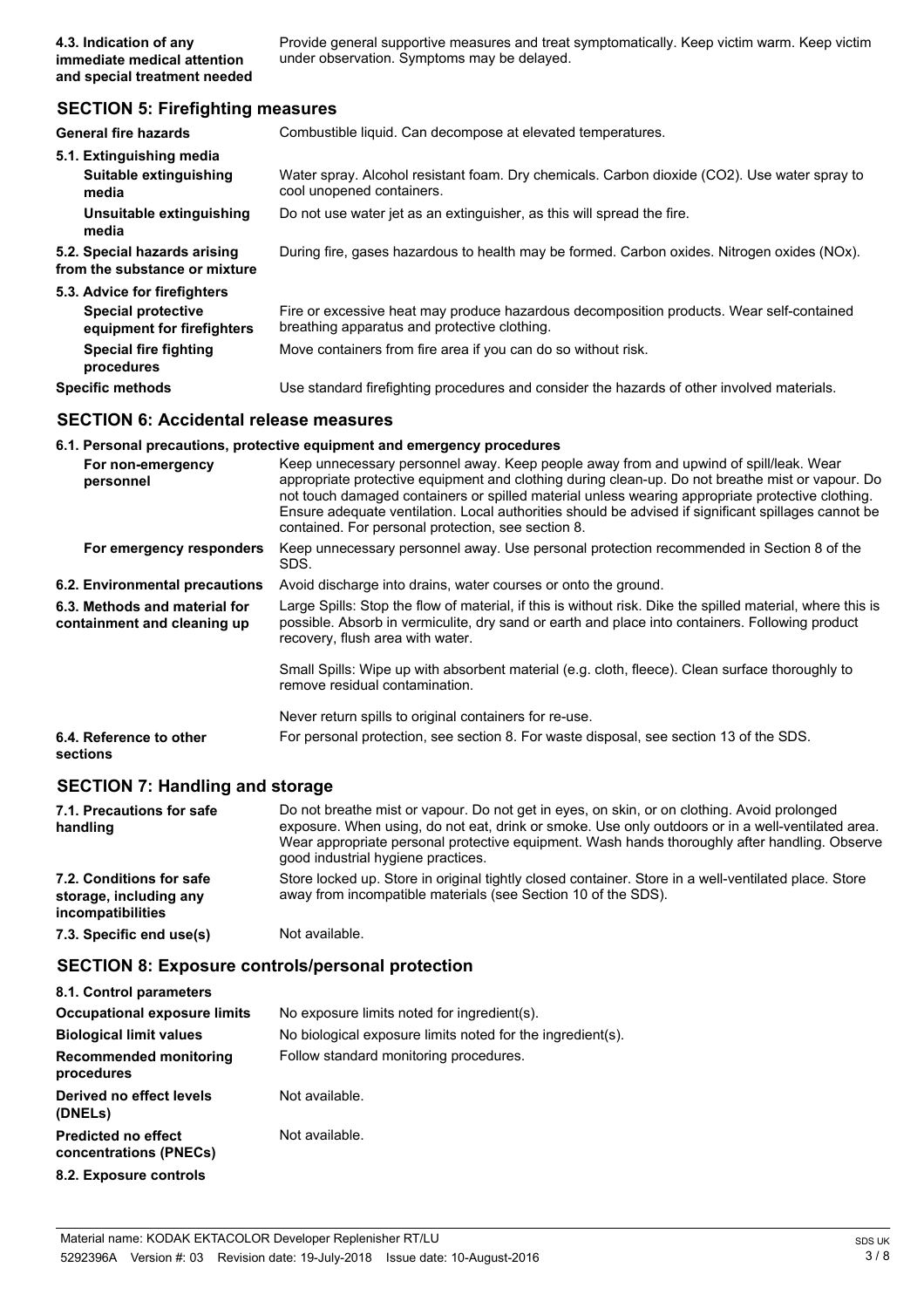Provide general supportive measures and treat symptomatically. Keep victim warm. Keep victim under observation. Symptoms may be delayed.

#### **SECTION 5: Firefighting measures**

| <b>General fire hazards</b>                                   | Combustible liquid. Can decompose at elevated temperatures.                                                                              |
|---------------------------------------------------------------|------------------------------------------------------------------------------------------------------------------------------------------|
| 5.1. Extinguishing media                                      |                                                                                                                                          |
| Suitable extinguishing<br>media                               | Water spray. Alcohol resistant foam. Dry chemicals. Carbon dioxide (CO2). Use water spray to<br>cool unopened containers.                |
| Unsuitable extinguishing<br>media                             | Do not use water jet as an extinguisher, as this will spread the fire.                                                                   |
| 5.2. Special hazards arising<br>from the substance or mixture | During fire, gases hazardous to health may be formed. Carbon oxides. Nitrogen oxides (NOx).                                              |
| 5.3. Advice for firefighters                                  |                                                                                                                                          |
| Special protective<br>equipment for firefighters              | Fire or excessive heat may produce hazardous decomposition products. Wear self-contained<br>breathing apparatus and protective clothing. |
| <b>Special fire fighting</b><br>procedures                    | Move containers from fire area if you can do so without risk.                                                                            |
| <b>Specific methods</b>                                       | Use standard firefighting procedures and consider the hazards of other involved materials.                                               |

#### **SECTION 6: Accidental release measures**

#### **6.1. Personal precautions, protective equipment and emergency procedures**

| For non-emergency<br>personnel                               | Keep unnecessary personnel away. Keep people away from and upwind of spill/leak. Wear<br>appropriate protective equipment and clothing during clean-up. Do not breathe mist or vapour. Do<br>not touch damaged containers or spilled material unless wearing appropriate protective clothing.<br>Ensure adequate ventilation. Local authorities should be advised if significant spillages cannot be<br>contained. For personal protection, see section 8. |
|--------------------------------------------------------------|------------------------------------------------------------------------------------------------------------------------------------------------------------------------------------------------------------------------------------------------------------------------------------------------------------------------------------------------------------------------------------------------------------------------------------------------------------|
| For emergency responders                                     | Keep unnecessary personnel away. Use personal protection recommended in Section 8 of the<br>SDS.                                                                                                                                                                                                                                                                                                                                                           |
| 6.2. Environmental precautions                               | Avoid discharge into drains, water courses or onto the ground.                                                                                                                                                                                                                                                                                                                                                                                             |
| 6.3. Methods and material for<br>containment and cleaning up | Large Spills: Stop the flow of material, if this is without risk. Dike the spilled material, where this is<br>possible. Absorb in vermiculite, dry sand or earth and place into containers. Following product<br>recovery, flush area with water.                                                                                                                                                                                                          |
|                                                              | Small Spills: Wipe up with absorbent material (e.g. cloth, fleece). Clean surface thoroughly to<br>remove residual contamination.                                                                                                                                                                                                                                                                                                                          |
|                                                              | Never return spills to original containers for re-use.                                                                                                                                                                                                                                                                                                                                                                                                     |
| 6.4. Reference to other<br>sections                          | For personal protection, see section 8. For waste disposal, see section 13 of the SDS.                                                                                                                                                                                                                                                                                                                                                                     |

#### **SECTION 7: Handling and storage**

| 7.1. Precautions for safe<br>handling                                          | Do not breathe mist or vapour. Do not get in eyes, on skin, or on clothing. Avoid prolonged<br>exposure. When using, do not eat, drink or smoke. Use only outdoors or in a well-ventilated area.<br>Wear appropriate personal protective equipment. Wash hands thoroughly after handling. Observe<br>good industrial hygiene practices. |
|--------------------------------------------------------------------------------|-----------------------------------------------------------------------------------------------------------------------------------------------------------------------------------------------------------------------------------------------------------------------------------------------------------------------------------------|
| 7.2. Conditions for safe<br>storage, including any<br><i>incompatibilities</i> | Store locked up. Store in original tightly closed container. Store in a well-ventilated place. Store<br>away from incompatible materials (see Section 10 of the SDS).                                                                                                                                                                   |
| 7.3. Specific end use(s)                                                       | Not available.                                                                                                                                                                                                                                                                                                                          |

#### **SECTION 8: Exposure controls/personal protection**

| 8.1. Control parameters                              |                                                            |
|------------------------------------------------------|------------------------------------------------------------|
| <b>Occupational exposure limits</b>                  | No exposure limits noted for ingredient(s).                |
| <b>Biological limit values</b>                       | No biological exposure limits noted for the ingredient(s). |
| Recommended monitoring<br>procedures                 | Follow standard monitoring procedures.                     |
| Derived no effect levels<br>(DNELs)                  | Not available.                                             |
| <b>Predicted no effect</b><br>concentrations (PNECs) | Not available.                                             |
| 8.2. Exposure controls                               |                                                            |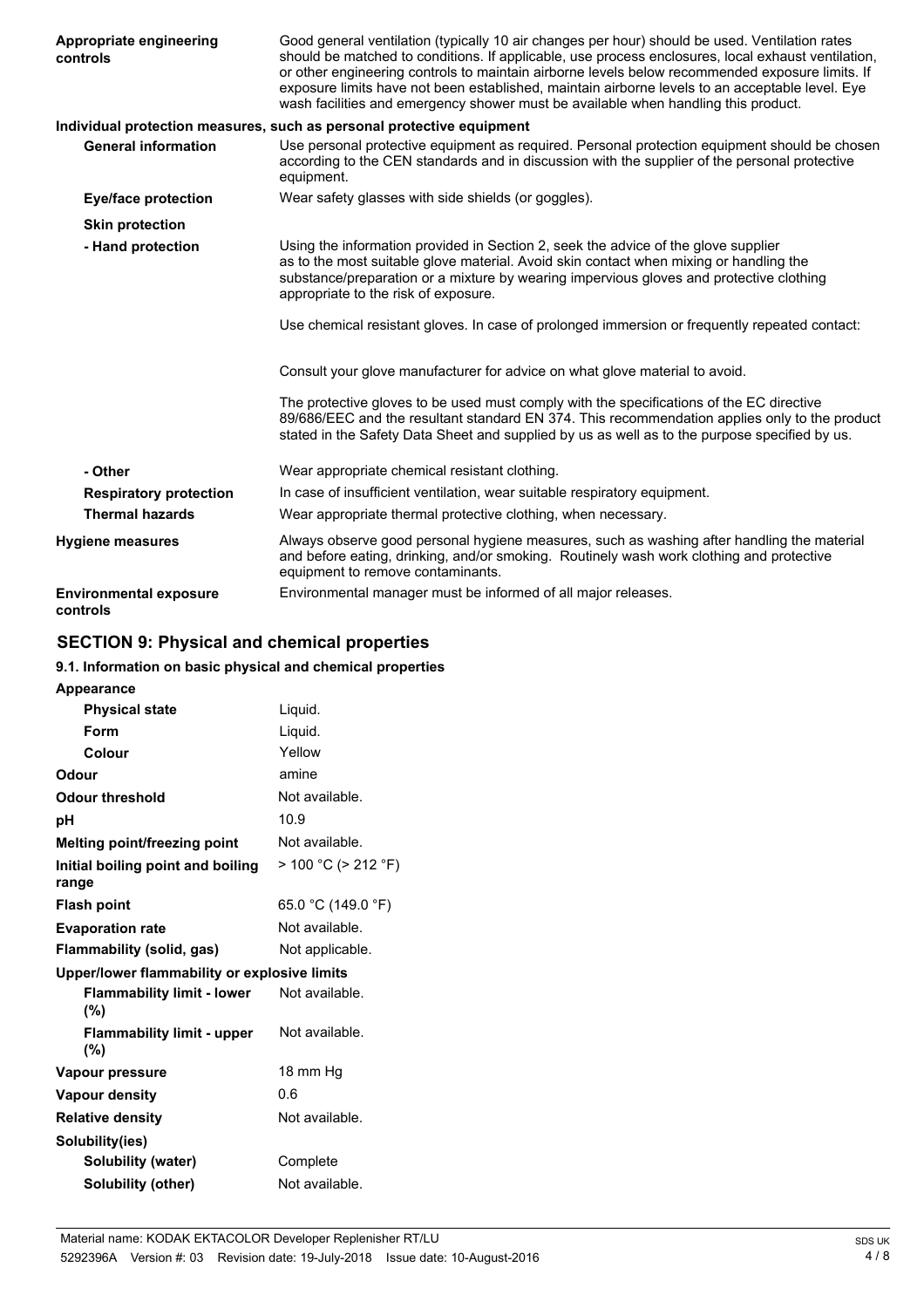| Appropriate engineering<br>controls       | Good general ventilation (typically 10 air changes per hour) should be used. Ventilation rates<br>should be matched to conditions. If applicable, use process enclosures, local exhaust ventilation,<br>or other engineering controls to maintain airborne levels below recommended exposure limits. If<br>exposure limits have not been established, maintain airborne levels to an acceptable level. Eye<br>wash facilities and emergency shower must be available when handling this product. |
|-------------------------------------------|--------------------------------------------------------------------------------------------------------------------------------------------------------------------------------------------------------------------------------------------------------------------------------------------------------------------------------------------------------------------------------------------------------------------------------------------------------------------------------------------------|
|                                           | Individual protection measures, such as personal protective equipment                                                                                                                                                                                                                                                                                                                                                                                                                            |
| <b>General information</b>                | Use personal protective equipment as required. Personal protection equipment should be chosen<br>according to the CEN standards and in discussion with the supplier of the personal protective<br>equipment.                                                                                                                                                                                                                                                                                     |
| <b>Eye/face protection</b>                | Wear safety glasses with side shields (or goggles).                                                                                                                                                                                                                                                                                                                                                                                                                                              |
| <b>Skin protection</b>                    |                                                                                                                                                                                                                                                                                                                                                                                                                                                                                                  |
| - Hand protection                         | Using the information provided in Section 2, seek the advice of the glove supplier<br>as to the most suitable glove material. Avoid skin contact when mixing or handling the<br>substance/preparation or a mixture by wearing impervious gloves and protective clothing<br>appropriate to the risk of exposure.                                                                                                                                                                                  |
|                                           | Use chemical resistant gloves. In case of prolonged immersion or frequently repeated contact:                                                                                                                                                                                                                                                                                                                                                                                                    |
|                                           | Consult your glove manufacturer for advice on what glove material to avoid.                                                                                                                                                                                                                                                                                                                                                                                                                      |
|                                           | The protective gloves to be used must comply with the specifications of the EC directive<br>89/686/EEC and the resultant standard EN 374. This recommendation applies only to the product<br>stated in the Safety Data Sheet and supplied by us as well as to the purpose specified by us.                                                                                                                                                                                                       |
| - Other                                   | Wear appropriate chemical resistant clothing.                                                                                                                                                                                                                                                                                                                                                                                                                                                    |
| <b>Respiratory protection</b>             | In case of insufficient ventilation, wear suitable respiratory equipment.                                                                                                                                                                                                                                                                                                                                                                                                                        |
| <b>Thermal hazards</b>                    | Wear appropriate thermal protective clothing, when necessary.                                                                                                                                                                                                                                                                                                                                                                                                                                    |
| <b>Hygiene measures</b>                   | Always observe good personal hygiene measures, such as washing after handling the material<br>and before eating, drinking, and/or smoking. Routinely wash work clothing and protective<br>equipment to remove contaminants.                                                                                                                                                                                                                                                                      |
| <b>Environmental exposure</b><br>controls | Environmental manager must be informed of all major releases.                                                                                                                                                                                                                                                                                                                                                                                                                                    |

## **SECTION 9: Physical and chemical properties**

## **9.1. Information on basic physical and chemical properties**

| <b>Appearance</b>                            |                           |
|----------------------------------------------|---------------------------|
| <b>Physical state</b>                        | Liquid.                   |
| Form                                         | Liquid.                   |
| Colour                                       | Yellow                    |
| Odour                                        | amine                     |
| <b>Odour threshold</b>                       | Not available.            |
| рH                                           | 10.9                      |
| Melting point/freezing point                 | Not available.            |
| Initial boiling point and boiling<br>range   | $> 100 °C$ ( $> 212 °F$ ) |
| <b>Flash point</b>                           | 65.0 °C (149.0 °F)        |
| <b>Evaporation rate</b>                      | Not available.            |
| Flammability (solid, gas)                    | Not applicable.           |
| Upper/lower flammability or explosive limits |                           |
| <b>Flammability limit - lower</b><br>(%)     | Not available.            |
| <b>Flammability limit - upper</b><br>(%)     | Not available.            |
| Vapour pressure                              | 18 mm Hg                  |
| <b>Vapour density</b>                        | 0.6                       |
| <b>Relative density</b>                      | Not available.            |
| Solubility(ies)                              |                           |
| Solubility (water)                           | Complete                  |
| Solubility (other)                           | Not available.            |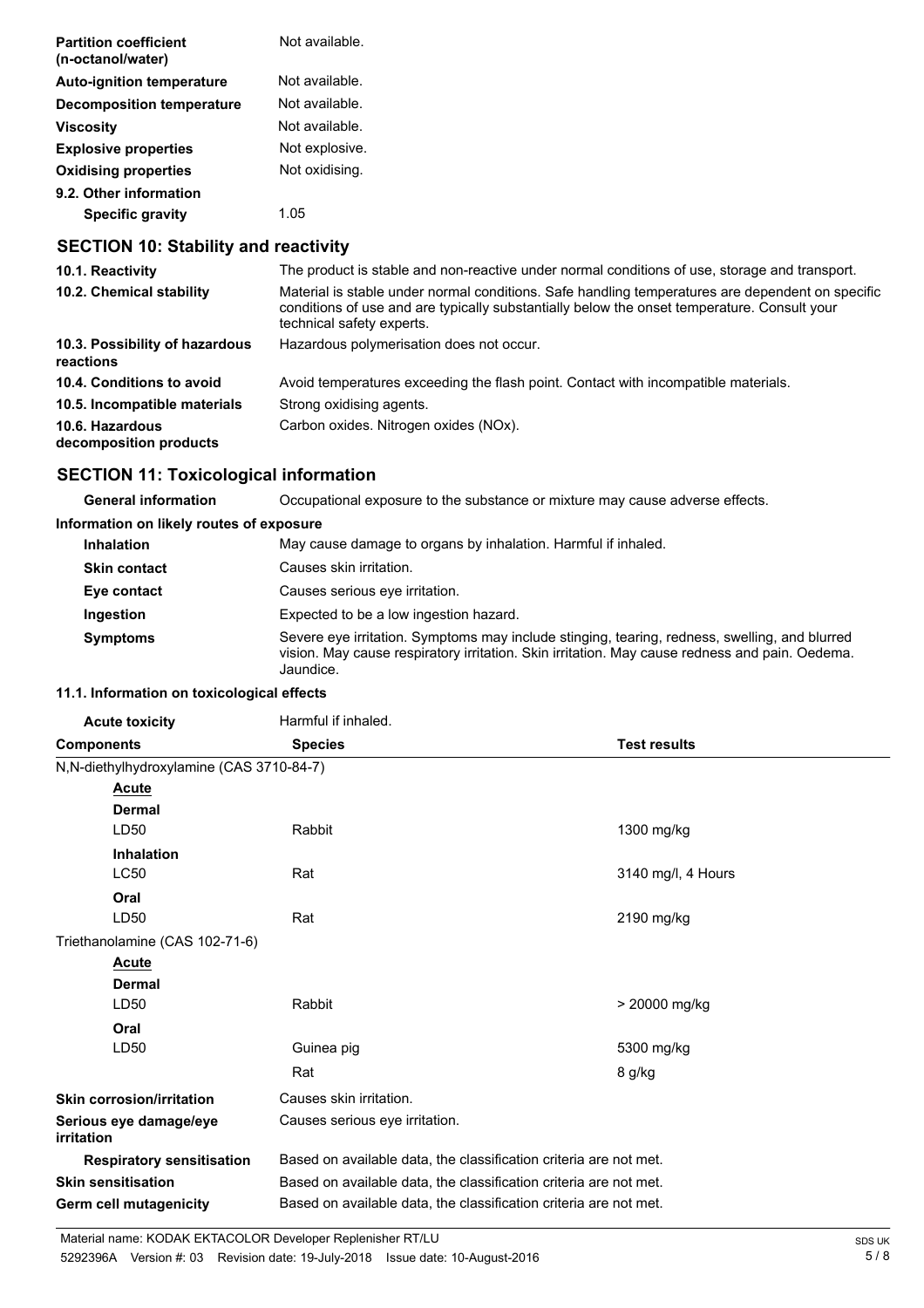| <b>Partition coefficient</b><br>(n-octanol/water) | Not available. |
|---------------------------------------------------|----------------|
| <b>Auto-ignition temperature</b>                  | Not available. |
| <b>Decomposition temperature</b>                  | Not available. |
| Viscosity                                         | Not available. |
| <b>Explosive properties</b>                       | Not explosive. |
| <b>Oxidising properties</b>                       | Not oxidising. |
| 9.2. Other information                            |                |
| <b>Specific gravity</b>                           | 1 0.5          |
|                                                   |                |

## **SECTION 10: Stability and reactivity**

| The product is stable and non-reactive under normal conditions of use, storage and transport.                                                                                                                                |
|------------------------------------------------------------------------------------------------------------------------------------------------------------------------------------------------------------------------------|
| Material is stable under normal conditions. Safe handling temperatures are dependent on specific<br>conditions of use and are typically substantially below the onset temperature. Consult your<br>technical safety experts. |
| Hazardous polymerisation does not occur.                                                                                                                                                                                     |
| Avoid temperatures exceeding the flash point. Contact with incompatible materials.                                                                                                                                           |
| Strong oxidising agents.                                                                                                                                                                                                     |
| Carbon oxides. Nitrogen oxides (NOx).                                                                                                                                                                                        |
|                                                                                                                                                                                                                              |

## **SECTION 11: Toxicological information**

**General information** Occupational exposure to the substance or mixture may cause adverse effects.

#### **Information on likely routes of exposure**

| <b>Inhalation</b>   | May cause damage to organs by inhalation. Harmful if inhaled.                                                                                                                                                |
|---------------------|--------------------------------------------------------------------------------------------------------------------------------------------------------------------------------------------------------------|
| <b>Skin contact</b> | Causes skin irritation.                                                                                                                                                                                      |
| Eye contact         | Causes serious eve irritation.                                                                                                                                                                               |
| Ingestion           | Expected to be a low ingestion hazard.                                                                                                                                                                       |
| <b>Symptoms</b>     | Severe eye irritation. Symptoms may include stinging, tearing, redness, swelling, and blurred<br>vision. May cause respiratory irritation. Skin irritation. May cause redness and pain. Oedema.<br>Jaundice. |

#### **11.1. Information on toxicological effects**

| <b>Acute toxicity</b>                    | Harmful if inhaled.                                               |                    |  |
|------------------------------------------|-------------------------------------------------------------------|--------------------|--|
| <b>Components</b>                        | <b>Species</b><br><b>Test results</b>                             |                    |  |
| N,N-diethylhydroxylamine (CAS 3710-84-7) |                                                                   |                    |  |
| Acute                                    |                                                                   |                    |  |
| <b>Dermal</b>                            |                                                                   |                    |  |
| LD50                                     | Rabbit                                                            | 1300 mg/kg         |  |
| Inhalation                               |                                                                   |                    |  |
| <b>LC50</b>                              | Rat                                                               | 3140 mg/l, 4 Hours |  |
| Oral                                     |                                                                   |                    |  |
| LD50                                     | Rat                                                               | 2190 mg/kg         |  |
| Triethanolamine (CAS 102-71-6)           |                                                                   |                    |  |
| <b>Acute</b>                             |                                                                   |                    |  |
| <b>Dermal</b>                            |                                                                   |                    |  |
| LD50                                     | Rabbit                                                            | > 20000 mg/kg      |  |
| Oral                                     |                                                                   |                    |  |
| LD50                                     | Guinea pig                                                        | 5300 mg/kg         |  |
|                                          | Rat                                                               | 8 g/kg             |  |
| <b>Skin corrosion/irritation</b>         | Causes skin irritation.                                           |                    |  |
| Serious eye damage/eye<br>irritation     | Causes serious eye irritation.                                    |                    |  |
| <b>Respiratory sensitisation</b>         | Based on available data, the classification criteria are not met. |                    |  |
| <b>Skin sensitisation</b>                | Based on available data, the classification criteria are not met. |                    |  |
| Germ cell mutagenicity                   | Based on available data, the classification criteria are not met. |                    |  |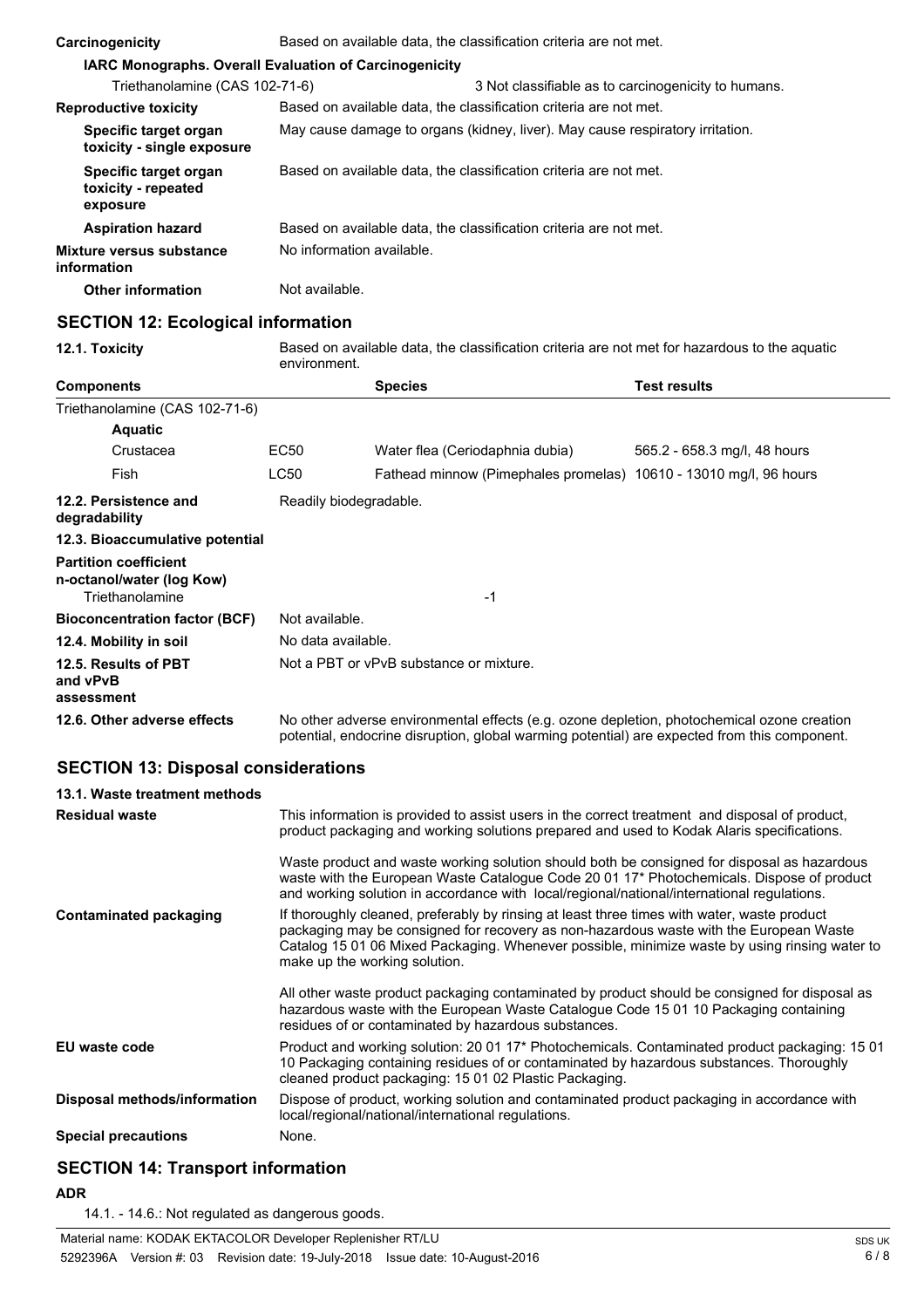| Carcinogenicity                                               | Based on available data, the classification criteria are not met. |                                                                               |  |  |
|---------------------------------------------------------------|-------------------------------------------------------------------|-------------------------------------------------------------------------------|--|--|
| <b>IARC Monographs. Overall Evaluation of Carcinogenicity</b> |                                                                   |                                                                               |  |  |
| Triethanolamine (CAS 102-71-6)                                |                                                                   | 3 Not classifiable as to carcinogenicity to humans.                           |  |  |
| <b>Reproductive toxicity</b>                                  |                                                                   | Based on available data, the classification criteria are not met.             |  |  |
| Specific target organ<br>toxicity - single exposure           |                                                                   | May cause damage to organs (kidney, liver). May cause respiratory irritation. |  |  |
| Specific target organ<br>toxicity - repeated<br>exposure      |                                                                   | Based on available data, the classification criteria are not met.             |  |  |
| <b>Aspiration hazard</b>                                      |                                                                   | Based on available data, the classification criteria are not met.             |  |  |
| Mixture versus substance<br>information                       | No information available.                                         |                                                                               |  |  |
| <b>Other information</b>                                      | Not available.                                                    |                                                                               |  |  |
| CECTION 42: Esclesiael information                            |                                                                   |                                                                               |  |  |

#### **SECTION 12: Ecological information**

**12.1. Toxicity** Based on available data, the classification criteria are not met for hazardous to the aquatic environment.

| <b>Components</b>                                                            |                    | <b>Species</b>                                                                                                                                                                                                                                                                                                          | <b>Test results</b>          |  |  |
|------------------------------------------------------------------------------|--------------------|-------------------------------------------------------------------------------------------------------------------------------------------------------------------------------------------------------------------------------------------------------------------------------------------------------------------------|------------------------------|--|--|
| Triethanolamine (CAS 102-71-6)                                               |                    |                                                                                                                                                                                                                                                                                                                         |                              |  |  |
| <b>Aquatic</b>                                                               |                    |                                                                                                                                                                                                                                                                                                                         |                              |  |  |
| Crustacea                                                                    | <b>EC50</b>        | Water flea (Ceriodaphnia dubia)                                                                                                                                                                                                                                                                                         | 565.2 - 658.3 mg/l, 48 hours |  |  |
| Fish                                                                         | <b>LC50</b>        | Fathead minnow (Pimephales promelas) 10610 - 13010 mg/l, 96 hours                                                                                                                                                                                                                                                       |                              |  |  |
| 12.2. Persistence and<br>degradability                                       |                    | Readily biodegradable.                                                                                                                                                                                                                                                                                                  |                              |  |  |
| 12.3. Bioaccumulative potential                                              |                    |                                                                                                                                                                                                                                                                                                                         |                              |  |  |
| <b>Partition coefficient</b><br>n-octanol/water (log Kow)<br>Triethanolamine |                    | -1                                                                                                                                                                                                                                                                                                                      |                              |  |  |
| <b>Bioconcentration factor (BCF)</b>                                         | Not available.     |                                                                                                                                                                                                                                                                                                                         |                              |  |  |
| 12.4. Mobility in soil                                                       | No data available. |                                                                                                                                                                                                                                                                                                                         |                              |  |  |
| 12.5. Results of PBT<br>and vPvB<br>assessment                               |                    | Not a PBT or vPvB substance or mixture.                                                                                                                                                                                                                                                                                 |                              |  |  |
| 12.6. Other adverse effects                                                  |                    | No other adverse environmental effects (e.g. ozone depletion, photochemical ozone creation<br>potential, endocrine disruption, global warming potential) are expected from this component.                                                                                                                              |                              |  |  |
| <b>SECTION 13: Disposal considerations</b>                                   |                    |                                                                                                                                                                                                                                                                                                                         |                              |  |  |
| 13.1. Waste treatment methods                                                |                    |                                                                                                                                                                                                                                                                                                                         |                              |  |  |
| <b>Residual waste</b>                                                        |                    | This information is provided to assist users in the correct treatment and disposal of product,<br>product packaging and working solutions prepared and used to Kodak Alaris specifications.                                                                                                                             |                              |  |  |
|                                                                              |                    | Waste product and waste working solution should both be consigned for disposal as hazardous<br>waste with the European Waste Catalogue Code 20 01 17* Photochemicals. Dispose of product<br>and working solution in accordance with local/regional/national/international regulations.                                  |                              |  |  |
| <b>Contaminated packaging</b>                                                |                    | If thoroughly cleaned, preferably by rinsing at least three times with water, waste product<br>packaging may be consigned for recovery as non-hazardous waste with the European Waste<br>Catalog 15 01 06 Mixed Packaging. Whenever possible, minimize waste by using rinsing water to<br>make up the working solution. |                              |  |  |
|                                                                              |                    | All other waste product packaging contaminated by product should be consigned for disposal as<br>hazardous waste with the European Waste Catalogue Code 15 01 10 Packaging containing<br>residues of or contaminated by hazardous substances.                                                                           |                              |  |  |
| EU waste code                                                                |                    | Product and working solution: 20 01 17* Photochemicals. Contaminated product packaging: 15 01<br>10 Packaging containing residues of or contaminated by hazardous substances. Thoroughly<br>cleaned product packaging: 15 01 02 Plastic Packaging.                                                                      |                              |  |  |
| Disposal methods/information                                                 |                    | Dispose of product, working solution and contaminated product packaging in accordance with<br>local/regional/national/international regulations.                                                                                                                                                                        |                              |  |  |
| <b>Special precautions</b>                                                   | None.              |                                                                                                                                                                                                                                                                                                                         |                              |  |  |

## **SECTION 14: Transport information**

#### **ADR**

14.1. - 14.6.: Not regulated as dangerous goods.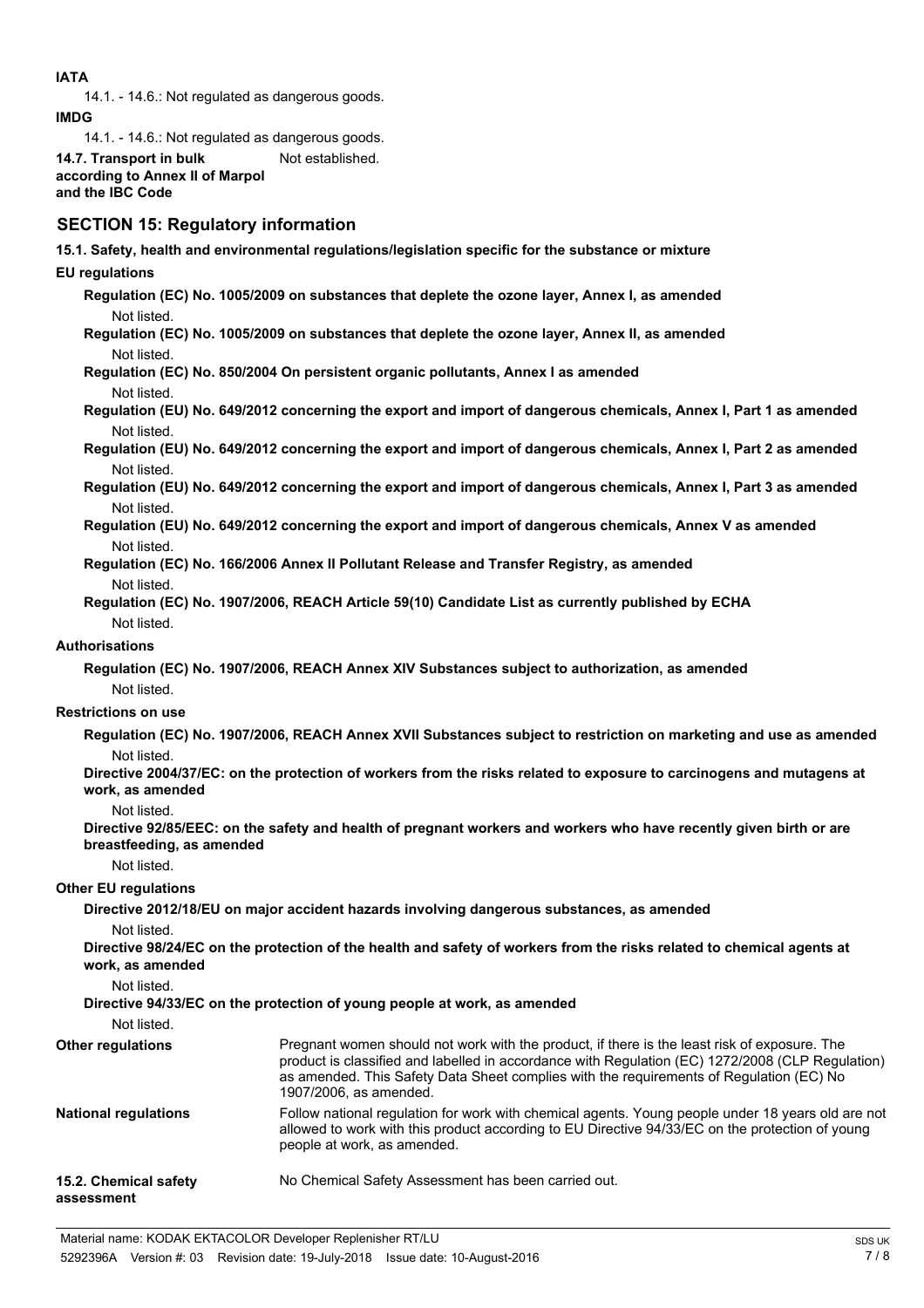#### **IATA**

14.1. - 14.6.: Not regulated as dangerous goods.

**IMDG**

14.1. - 14.6.: Not regulated as dangerous goods.

**14.7. Transport in bulk** Not established. **according to Annex II of Marpol and the IBC Code**

## **SECTION 15: Regulatory information**

**15.1. Safety, health and environmental regulations/legislation specific for the substance or mixture**

#### **EU regulations**

**Regulation (EC) No. 1005/2009 on substances that deplete the ozone layer, Annex I, as amended** Not listed.

**Regulation (EC) No. 1005/2009 on substances that deplete the ozone layer, Annex II, as amended** Not listed.

**Regulation (EC) No. 850/2004 On persistent organic pollutants, Annex I as amended** Not listed.

**Regulation (EU) No. 649/2012 concerning the export and import of dangerous chemicals, Annex I, Part 1 as amended** Not listed.

**Regulation (EU) No. 649/2012 concerning the export and import of dangerous chemicals, Annex I, Part 2 as amended** Not listed.

**Regulation (EU) No. 649/2012 concerning the export and import of dangerous chemicals, Annex I, Part 3 as amended** Not listed.

**Regulation (EU) No. 649/2012 concerning the export and import of dangerous chemicals, Annex V as amended** Not listed.

**Regulation (EC) No. 166/2006 Annex II Pollutant Release and Transfer Registry, as amended** Not listed.

**Regulation (EC) No. 1907/2006, REACH Article 59(10) Candidate List as currently published by ECHA** Not listed.

#### **Authorisations**

**Regulation (EC) No. 1907/2006, REACH Annex XIV Substances subject to authorization, as amended** Not listed.

#### **Restrictions on use**

**Regulation (EC) No. 1907/2006, REACH Annex XVII Substances subject to restriction on marketing and use as amended** Not listed.

**Directive 2004/37/EC: on the protection of workers from the risks related to exposure to carcinogens and mutagens at work, as amended**

Not listed.

**Directive 92/85/EEC: on the safety and health of pregnant workers and workers who have recently given birth or are breastfeeding, as amended**

Not listed.

#### **Other EU regulations**

**Directive 2012/18/EU on major accident hazards involving dangerous substances, as amended**

Not listed.

**Directive 98/24/EC on the protection of the health and safety of workers from the risks related to chemical agents at work, as amended**

Not listed.

**Directive 94/33/EC on the protection of young people at work, as amended**

Not listed.

| <b>Other regulations</b>            | Pregnant women should not work with the product, if there is the least risk of exposure. The<br>product is classified and labelled in accordance with Regulation (EC) 1272/2008 (CLP Regulation)<br>as amended. This Safety Data Sheet complies with the requirements of Requiation (EC) No<br>1907/2006, as amended. |
|-------------------------------------|-----------------------------------------------------------------------------------------------------------------------------------------------------------------------------------------------------------------------------------------------------------------------------------------------------------------------|
| <b>National regulations</b>         | Follow national regulation for work with chemical agents. Young people under 18 years old are not<br>allowed to work with this product according to EU Directive 94/33/EC on the protection of young<br>people at work, as amended.                                                                                   |
| 15.2. Chemical safety<br>assessment | No Chemical Safety Assessment has been carried out.                                                                                                                                                                                                                                                                   |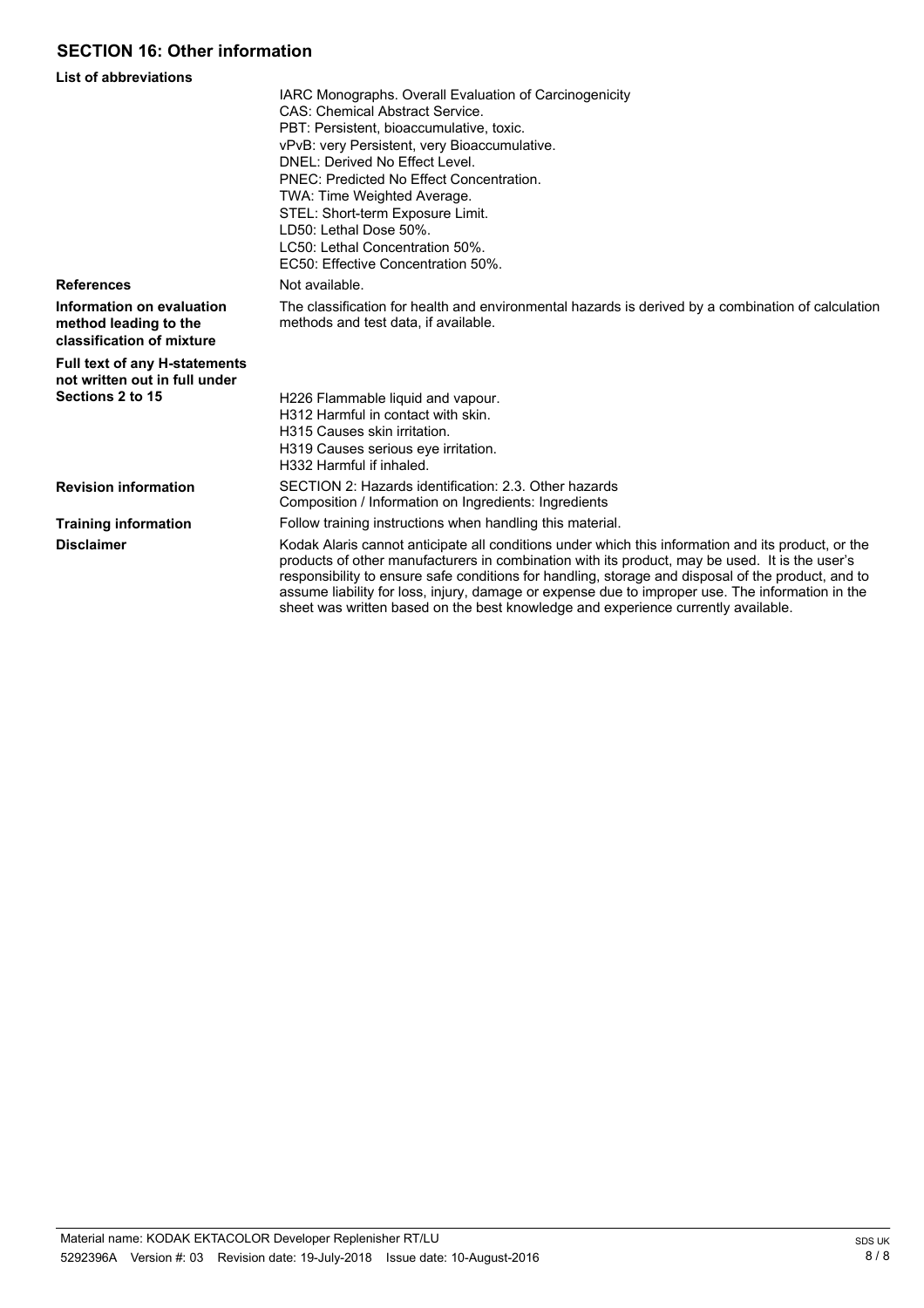## **SECTION 16: Other information**

| <b>List of abbreviations</b>                                                    |                                                                                                                                                                                                                                                                                                                                                                                                                                                                                                     |
|---------------------------------------------------------------------------------|-----------------------------------------------------------------------------------------------------------------------------------------------------------------------------------------------------------------------------------------------------------------------------------------------------------------------------------------------------------------------------------------------------------------------------------------------------------------------------------------------------|
|                                                                                 | IARC Monographs. Overall Evaluation of Carcinogenicity<br><b>CAS: Chemical Abstract Service.</b><br>PBT: Persistent, bioaccumulative, toxic.<br>vPvB: very Persistent, very Bioaccumulative.<br>DNEL: Derived No Effect Level.<br>PNEC: Predicted No Effect Concentration.<br>TWA: Time Weighted Average.<br>STEL: Short-term Exposure Limit.<br>LD50: Lethal Dose 50%.<br>LC50: Lethal Concentration 50%.<br>EC50: Effective Concentration 50%.                                                    |
| <b>References</b>                                                               | Not available.                                                                                                                                                                                                                                                                                                                                                                                                                                                                                      |
| Information on evaluation<br>method leading to the<br>classification of mixture | The classification for health and environmental hazards is derived by a combination of calculation<br>methods and test data, if available.                                                                                                                                                                                                                                                                                                                                                          |
| <b>Full text of any H-statements</b><br>not written out in full under           |                                                                                                                                                                                                                                                                                                                                                                                                                                                                                                     |
| Sections 2 to 15                                                                | H226 Flammable liquid and vapour.<br>H312 Harmful in contact with skin.<br>H315 Causes skin irritation.<br>H319 Causes serious eye irritation.<br>H332 Harmful if inhaled.                                                                                                                                                                                                                                                                                                                          |
| <b>Revision information</b>                                                     | SECTION 2: Hazards identification: 2.3. Other hazards<br>Composition / Information on Ingredients: Ingredients                                                                                                                                                                                                                                                                                                                                                                                      |
| <b>Training information</b>                                                     | Follow training instructions when handling this material.                                                                                                                                                                                                                                                                                                                                                                                                                                           |
| <b>Disclaimer</b>                                                               | Kodak Alaris cannot anticipate all conditions under which this information and its product, or the<br>products of other manufacturers in combination with its product, may be used. It is the user's<br>responsibility to ensure safe conditions for handling, storage and disposal of the product, and to<br>assume liability for loss, injury, damage or expense due to improper use. The information in the<br>sheet was written based on the best knowledge and experience currently available. |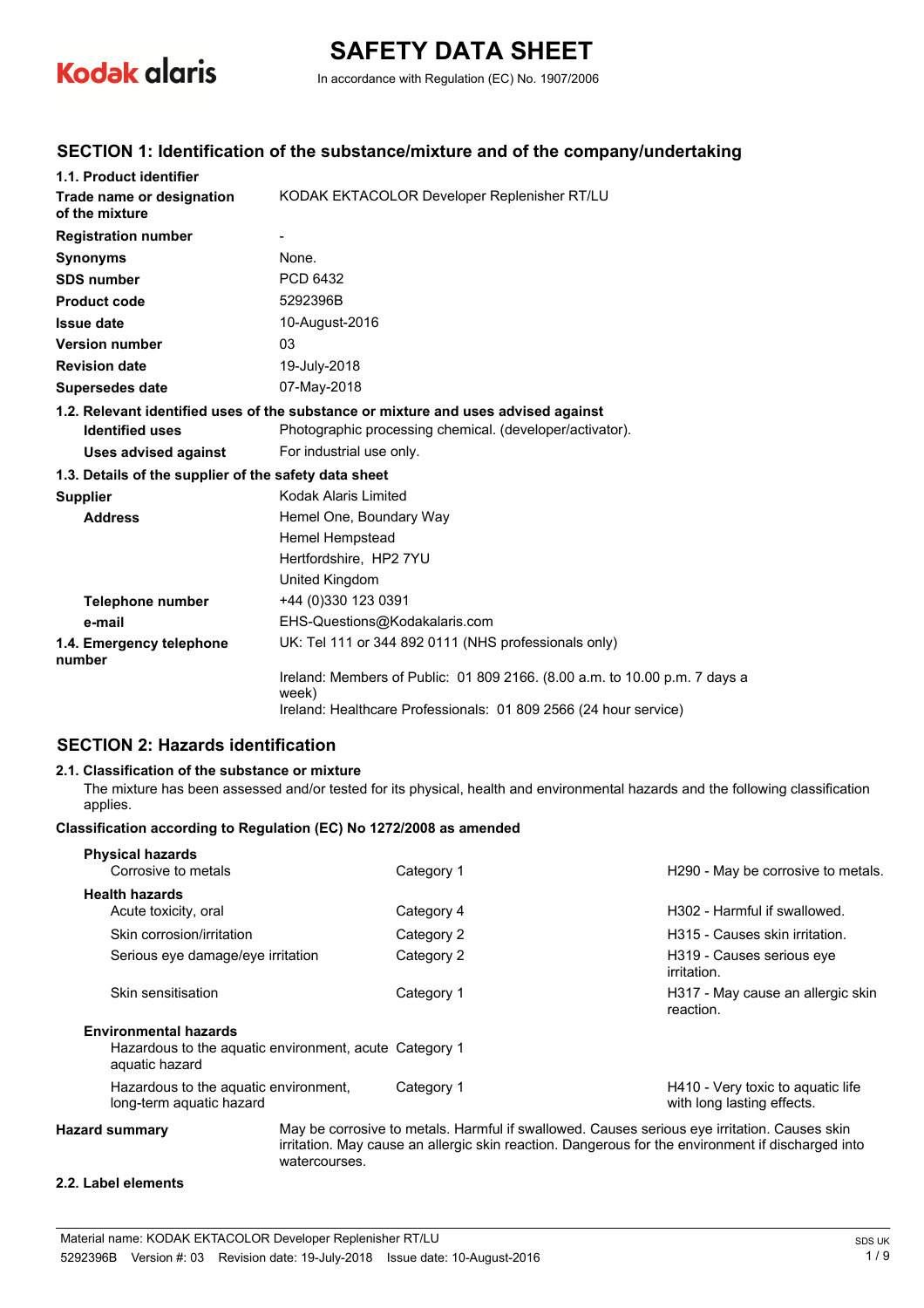

# **SAFETY DATA SHEET**

In accordance with Regulation (EC) No. 1907/2006

#### **SECTION 1: Identification of the substance/mixture and of the company/undertaking**

| 1.1. Product identifier                               |                                                                                     |  |  |
|-------------------------------------------------------|-------------------------------------------------------------------------------------|--|--|
| Trade name or designation<br>of the mixture           | KODAK EKTACOLOR Developer Replenisher RT/LU                                         |  |  |
| <b>Registration number</b>                            |                                                                                     |  |  |
| <b>Synonyms</b>                                       | None.                                                                               |  |  |
| <b>SDS number</b>                                     | PCD 6432                                                                            |  |  |
| <b>Product code</b>                                   | 5292396B                                                                            |  |  |
| <b>Issue date</b>                                     | 10-August-2016                                                                      |  |  |
| <b>Version number</b>                                 | 03                                                                                  |  |  |
| <b>Revision date</b>                                  | 19-July-2018                                                                        |  |  |
| <b>Supersedes date</b>                                | 07-May-2018                                                                         |  |  |
|                                                       | 1.2. Relevant identified uses of the substance or mixture and uses advised against  |  |  |
| <b>Identified uses</b>                                | Photographic processing chemical. (developer/activator).                            |  |  |
| <b>Uses advised against</b>                           | For industrial use only.                                                            |  |  |
| 1.3. Details of the supplier of the safety data sheet |                                                                                     |  |  |
| <b>Supplier</b>                                       | Kodak Alaris Limited                                                                |  |  |
| <b>Address</b>                                        | Hemel One, Boundary Way                                                             |  |  |
|                                                       | Hemel Hempstead                                                                     |  |  |
|                                                       | Hertfordshire, HP2 7YU                                                              |  |  |
|                                                       | United Kingdom                                                                      |  |  |
| <b>Telephone number</b>                               | +44 (0)330 123 0391                                                                 |  |  |
| e-mail                                                | EHS-Questions@Kodakalaris.com                                                       |  |  |
| 1.4. Emergency telephone<br>number                    | UK: Tel 111 or 344 892 0111 (NHS professionals only)                                |  |  |
|                                                       | Ireland: Members of Public: 01 809 2166. (8.00 a.m. to 10.00 p.m. 7 days a<br>week) |  |  |
|                                                       | Ireland: Healthcare Professionals: 01 809 2566 (24 hour service)                    |  |  |

## **SECTION 2: Hazards identification**

#### **2.1. Classification of the substance or mixture**

The mixture has been assessed and/or tested for its physical, health and environmental hazards and the following classification applies.

#### **Classification according to Regulation (EC) No 1272/2008 as amended**

| <b>Physical hazards</b>                                                  |            |                                                                 |
|--------------------------------------------------------------------------|------------|-----------------------------------------------------------------|
| Corrosive to metals                                                      | Category 1 | H <sub>290</sub> - May be corrosive to metals.                  |
| <b>Health hazards</b>                                                    |            |                                                                 |
| Acute toxicity, oral                                                     | Category 4 | H <sub>302</sub> - Harmful if swallowed.                        |
| Skin corrosion/irritation                                                | Category 2 | H315 - Causes skin irritation.                                  |
| Serious eye damage/eye irritation                                        | Category 2 | H319 - Causes serious eve<br>irritation.                        |
| Skin sensitisation                                                       | Category 1 | H317 - May cause an allergic skin<br>reaction.                  |
| <b>Environmental hazards</b>                                             |            |                                                                 |
| Hazardous to the aquatic environment, acute Category 1<br>aquatic hazard |            |                                                                 |
| Hazardous to the aguatic environment.<br>long-term aquatic hazard        | Category 1 | H410 - Very toxic to aquatic life<br>with long lasting effects. |
|                                                                          |            |                                                                 |

**Hazard summary** May be corrosive to metals. Harmful if swallowed. Causes serious eye irritation. Causes skin irritation. May cause an allergic skin reaction. Dangerous for the environment if discharged into watercourses.

#### **2.2. Label elements**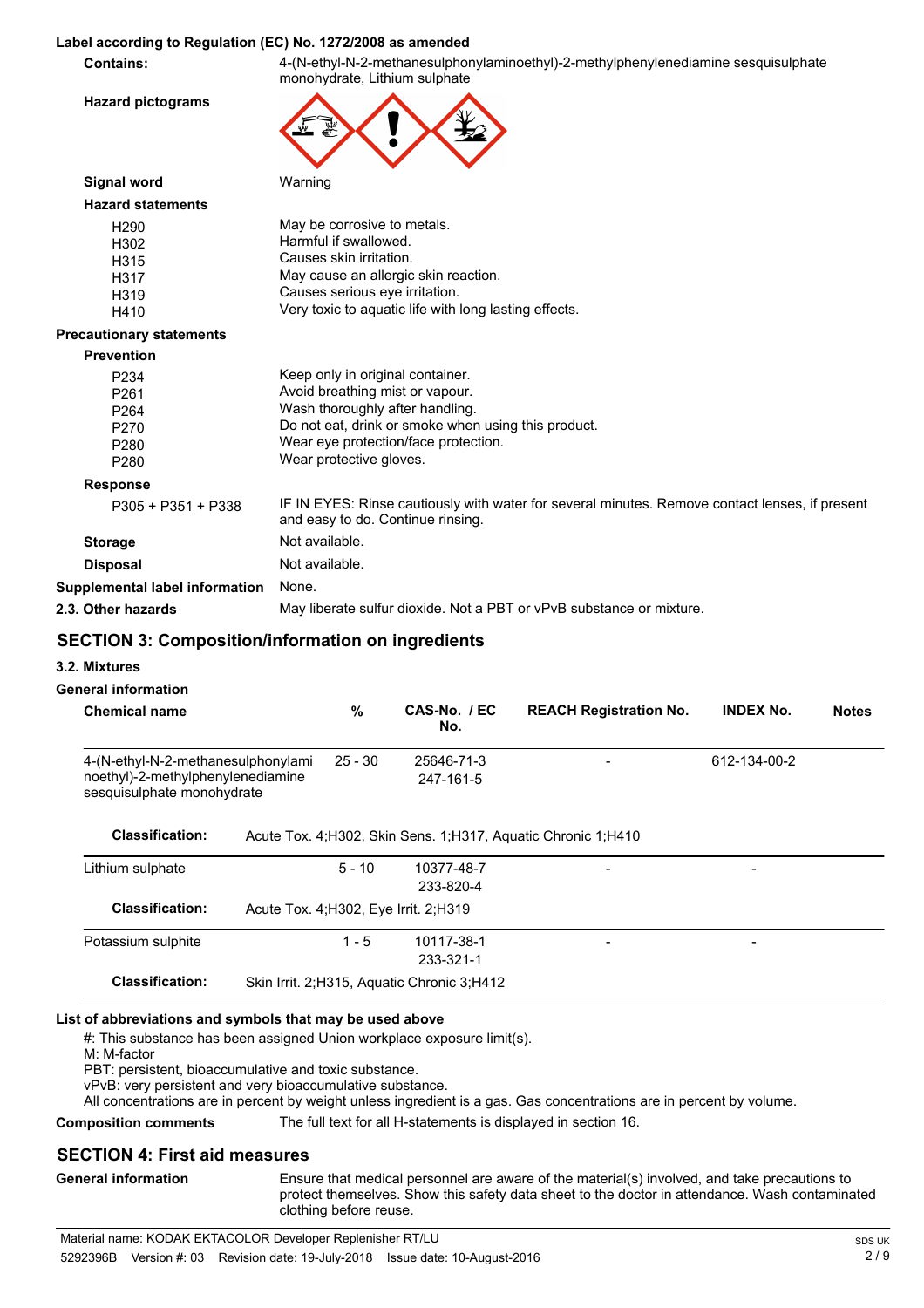#### **Label according to Regulation (EC) No. 1272/2008 as amended**

**Contains:** 4-(N-ethyl-N-2-methanesulphonylaminoethyl)-2-methylphenylenediamine sesquisulphate monohydrate, Lithium sulphate

**Hazard pictograms**



| Signal word                     | Warning                                                                                                                             |
|---------------------------------|-------------------------------------------------------------------------------------------------------------------------------------|
| <b>Hazard statements</b>        |                                                                                                                                     |
| H <sub>290</sub>                | May be corrosive to metals.                                                                                                         |
| H302                            | Harmful if swallowed.                                                                                                               |
| H315                            | Causes skin irritation.                                                                                                             |
| H317                            | May cause an allergic skin reaction.                                                                                                |
| H319                            | Causes serious eye irritation.                                                                                                      |
| H410                            | Very toxic to aquatic life with long lasting effects.                                                                               |
| <b>Precautionary statements</b> |                                                                                                                                     |
| <b>Prevention</b>               |                                                                                                                                     |
| P <sub>2</sub> 34               | Keep only in original container.                                                                                                    |
| P261                            | Avoid breathing mist or vapour.                                                                                                     |
| P <sub>264</sub>                | Wash thoroughly after handling.                                                                                                     |
| P270                            | Do not eat, drink or smoke when using this product.                                                                                 |
| P <sub>280</sub>                | Wear eye protection/face protection.                                                                                                |
| P <sub>280</sub>                | Wear protective gloves.                                                                                                             |
| <b>Response</b>                 |                                                                                                                                     |
| P305 + P351 + P338              | IF IN EYES: Rinse cautiously with water for several minutes. Remove contact lenses, if present<br>and easy to do. Continue rinsing. |
| <b>Storage</b>                  | Not available.                                                                                                                      |
| <b>Disposal</b>                 | Not available.                                                                                                                      |

**Supplemental label information** None.

**2.3. Other hazards** May liberate sulfur dioxide. Not a PBT or vPvB substance or mixture.

### **SECTION 3: Composition/information on ingredients**

**3.2. Mixtures**

#### **General information**

| <b>Chemical name</b>                                                                                  | $\frac{9}{6}$ | CAS-No. / EC<br>No.                        | <b>REACH Registration No.</b>                                   | <b>INDEX No.</b> | <b>Notes</b> |
|-------------------------------------------------------------------------------------------------------|---------------|--------------------------------------------|-----------------------------------------------------------------|------------------|--------------|
| 4-(N-ethyl-N-2-methanesulphonylami<br>noethyl)-2-methylphenylenediamine<br>sesquisulphate monohydrate | $25 - 30$     | 25646-71-3<br>247-161-5                    |                                                                 | 612-134-00-2     |              |
| <b>Classification:</b>                                                                                |               |                                            | Acute Tox. 4: H302, Skin Sens. 1: H317, Aquatic Chronic 1: H410 |                  |              |
| Lithium sulphate                                                                                      | $5 - 10$      | 10377-48-7<br>233-820-4                    |                                                                 |                  |              |
| <b>Classification:</b>                                                                                |               | Acute Tox. 4; H302, Eye Irrit. 2; H319     |                                                                 |                  |              |
| Potassium sulphite                                                                                    | $1 - 5$       | 10117-38-1<br>233-321-1                    |                                                                 | -                |              |
| <b>Classification:</b>                                                                                |               | Skin Irrit. 2:H315, Aguatic Chronic 3:H412 |                                                                 |                  |              |

#### **List of abbreviations and symbols that may be used above**

#: This substance has been assigned Union workplace exposure limit(s).

M: M-factor

PBT: persistent, bioaccumulative and toxic substance.

vPvB: very persistent and very bioaccumulative substance.

All concentrations are in percent by weight unless ingredient is a gas. Gas concentrations are in percent by volume.

**Composition comments** The full text for all H-statements is displayed in section 16.

#### **SECTION 4: First aid measures**

**General information**

Ensure that medical personnel are aware of the material(s) involved, and take precautions to protect themselves. Show this safety data sheet to the doctor in attendance. Wash contaminated clothing before reuse.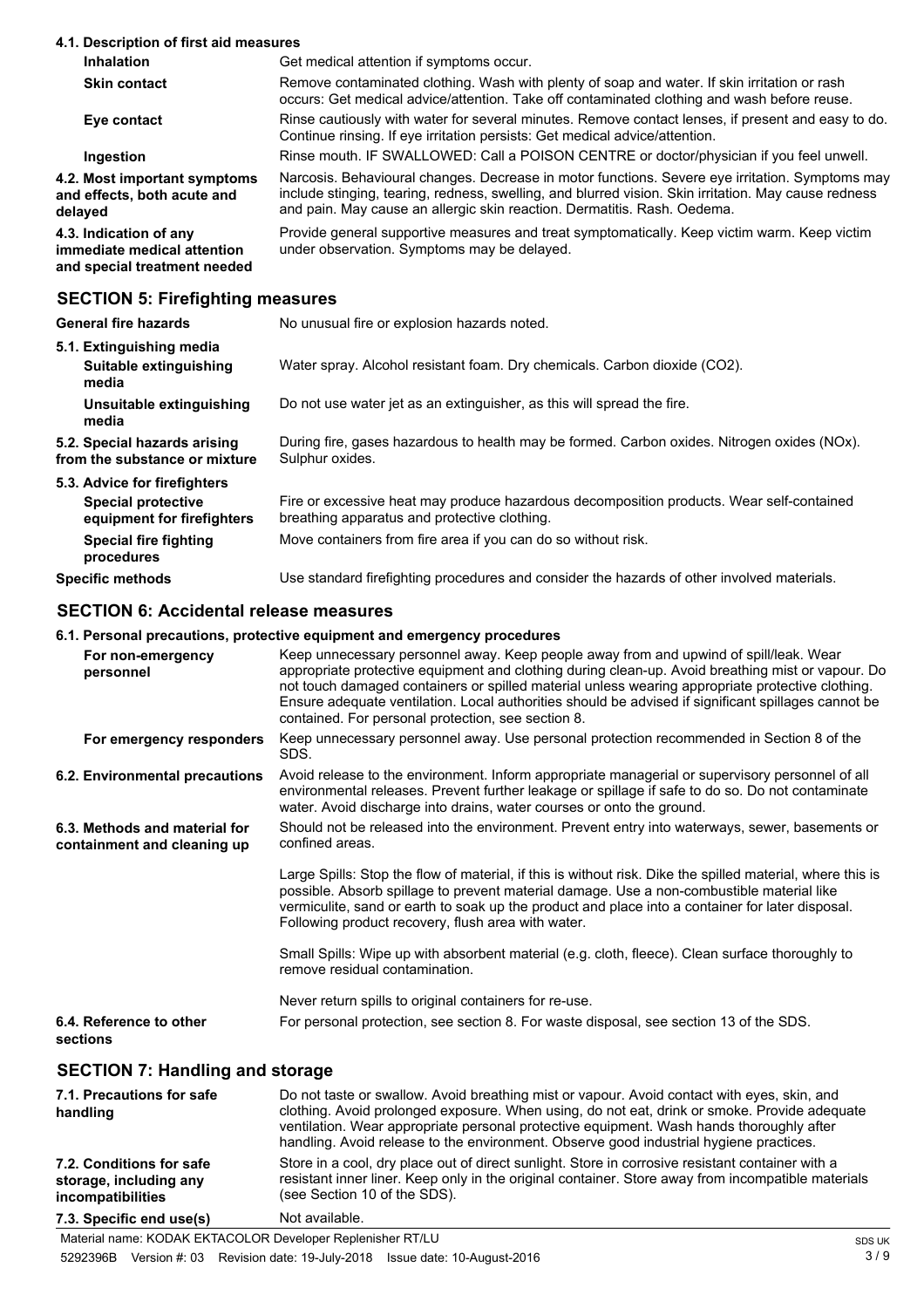#### **4.1. Description of first aid measures**

| <b>Inhalation</b>                                                                     | Get medical attention if symptoms occur.                                                                                                                                                                                                                                            |
|---------------------------------------------------------------------------------------|-------------------------------------------------------------------------------------------------------------------------------------------------------------------------------------------------------------------------------------------------------------------------------------|
| <b>Skin contact</b>                                                                   | Remove contaminated clothing. Wash with plenty of soap and water. If skin irritation or rash<br>occurs: Get medical advice/attention. Take off contaminated clothing and wash before reuse.                                                                                         |
| Eye contact                                                                           | Rinse cautiously with water for several minutes. Remove contact lenses, if present and easy to do.<br>Continue rinsing. If eye irritation persists: Get medical advice/attention.                                                                                                   |
| Ingestion                                                                             | Rinse mouth. IF SWALLOWED: Call a POISON CENTRE or doctor/physician if you feel unwell.                                                                                                                                                                                             |
| 4.2. Most important symptoms<br>and effects, both acute and<br>delaved                | Narcosis. Behavioural changes. Decrease in motor functions. Severe eye irritation. Symptoms may<br>include stinging, tearing, redness, swelling, and blurred vision. Skin irritation. May cause redness<br>and pain. May cause an allergic skin reaction. Dermatitis. Rash. Oedema. |
| 4.3. Indication of any<br>immediate medical attention<br>and special treatment needed | Provide general supportive measures and treat symptomatically. Keep victim warm. Keep victim<br>under observation. Symptoms may be delayed.                                                                                                                                         |
|                                                                                       |                                                                                                                                                                                                                                                                                     |

#### **SECTION 5: Firefighting measures**

| <b>General fire hazards</b>                                   | No unusual fire or explosion hazards noted.                                                                                              |
|---------------------------------------------------------------|------------------------------------------------------------------------------------------------------------------------------------------|
| 5.1. Extinguishing media<br>Suitable extinguishing<br>media   | Water spray. Alcohol resistant foam. Dry chemicals. Carbon dioxide (CO2).                                                                |
| Unsuitable extinguishing<br>media                             | Do not use water jet as an extinguisher, as this will spread the fire.                                                                   |
| 5.2. Special hazards arising<br>from the substance or mixture | During fire, gases hazardous to health may be formed. Carbon oxides. Nitrogen oxides (NOx).<br>Sulphur oxides.                           |
| 5.3. Advice for firefighters                                  |                                                                                                                                          |
| Special protective<br>equipment for firefighters              | Fire or excessive heat may produce hazardous decomposition products. Wear self-contained<br>breathing apparatus and protective clothing. |
| <b>Special fire fighting</b><br>procedures                    | Move containers from fire area if you can do so without risk.                                                                            |
| Specific methods                                              | Use standard firefighting procedures and consider the hazards of other involved materials.                                               |

## **SECTION 6: Accidental release measures**

#### **6.1. Personal precautions, protective equipment and emergency procedures**

| . . <del>.</del> . <del>.</del> . <del>.</del>               |                                                                                                                                                                                                                                                                                                                                                                                                                                                             |
|--------------------------------------------------------------|-------------------------------------------------------------------------------------------------------------------------------------------------------------------------------------------------------------------------------------------------------------------------------------------------------------------------------------------------------------------------------------------------------------------------------------------------------------|
| For non-emergency<br>personnel                               | Keep unnecessary personnel away. Keep people away from and upwind of spill/leak. Wear<br>appropriate protective equipment and clothing during clean-up. Avoid breathing mist or vapour. Do<br>not touch damaged containers or spilled material unless wearing appropriate protective clothing.<br>Ensure adequate ventilation. Local authorities should be advised if significant spillages cannot be<br>contained. For personal protection, see section 8. |
| For emergency responders                                     | Keep unnecessary personnel away. Use personal protection recommended in Section 8 of the<br>SDS.                                                                                                                                                                                                                                                                                                                                                            |
| 6.2. Environmental precautions                               | Avoid release to the environment. Inform appropriate managerial or supervisory personnel of all<br>environmental releases. Prevent further leakage or spillage if safe to do so. Do not contaminate<br>water. Avoid discharge into drains, water courses or onto the ground.                                                                                                                                                                                |
| 6.3. Methods and material for<br>containment and cleaning up | Should not be released into the environment. Prevent entry into waterways, sewer, basements or<br>confined areas.                                                                                                                                                                                                                                                                                                                                           |
|                                                              | Large Spills: Stop the flow of material, if this is without risk. Dike the spilled material, where this is<br>possible. Absorb spillage to prevent material damage. Use a non-combustible material like<br>vermiculite, sand or earth to soak up the product and place into a container for later disposal.<br>Following product recovery, flush area with water.                                                                                           |
|                                                              | Small Spills: Wipe up with absorbent material (e.g. cloth, fleece). Clean surface thoroughly to<br>remove residual contamination.                                                                                                                                                                                                                                                                                                                           |
|                                                              | Never return spills to original containers for re-use.                                                                                                                                                                                                                                                                                                                                                                                                      |
| 6.4. Reference to other<br>sections                          | For personal protection, see section 8. For waste disposal, see section 13 of the SDS.                                                                                                                                                                                                                                                                                                                                                                      |
| <b>SECTION 7: Handling and storage</b>                       |                                                                                                                                                                                                                                                                                                                                                                                                                                                             |
| 7.1. Precautions for safe                                    | Do not taste or swallow. Avoid breathing mist or vapour. Avoid contact with eyes, skin, and                                                                                                                                                                                                                                                                                                                                                                 |

#### clothing. Avoid prolonged exposure. When using, do not eat, drink or smoke. Provide adequate ventilation. Wear appropriate personal protective equipment. Wash hands thoroughly after handling. Avoid release to the environment. Observe good industrial hygiene practices. **handling** Store in a cool, dry place out of direct sunlight. Store in corrosive resistant container with a resistant inner liner. Keep only in the original container. Store away from incompatible materials (see Section 10 of the SDS). **7.2. Conditions for safe storage, including any incompatibilities 7.3. Specific end use(s)** Not available.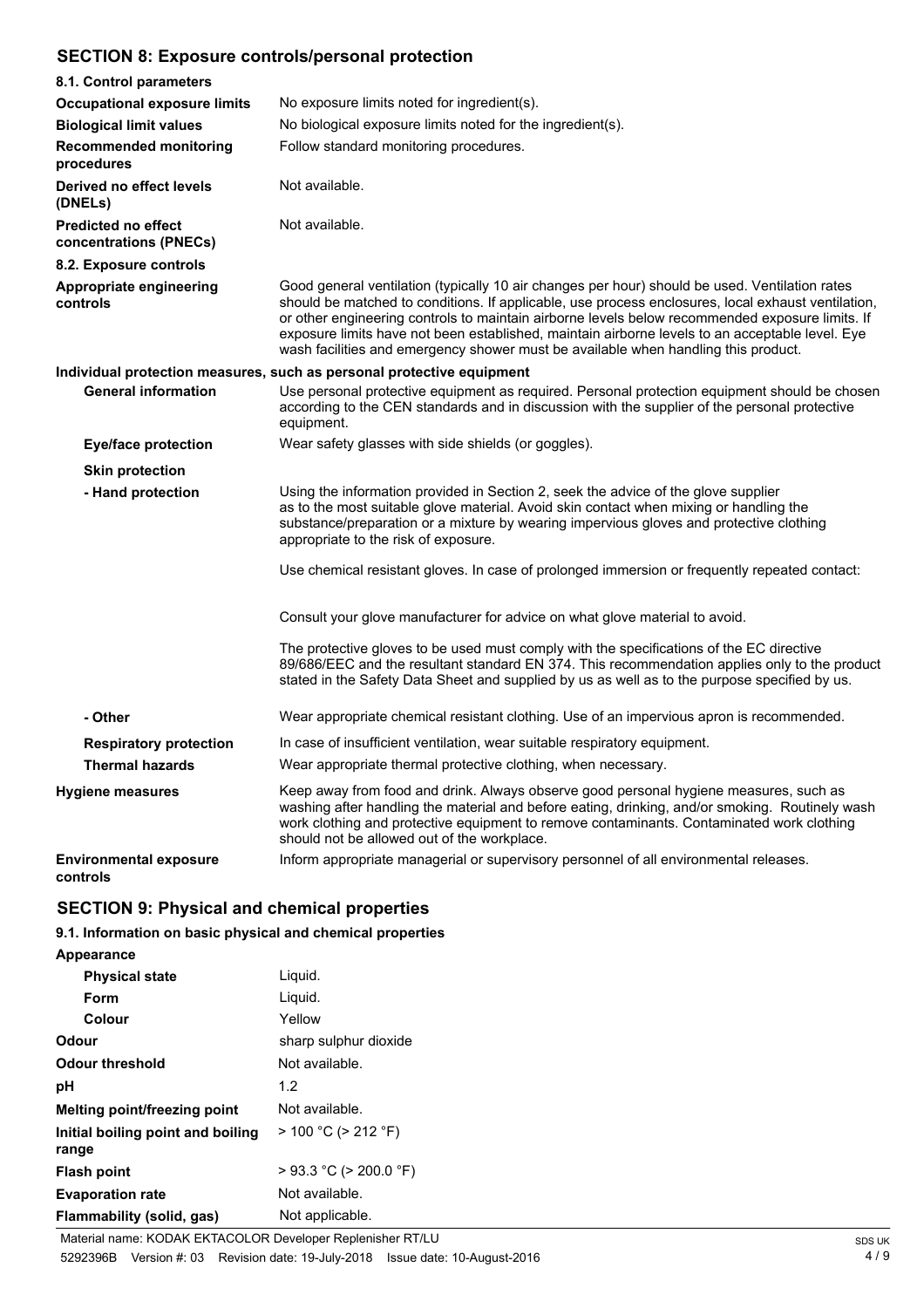## **SECTION 8: Exposure controls/personal protection**

| 8.1. Control parameters                              |                                                                                                                                                                                                                                                                                                                                                                                                                                                                                                  |  |
|------------------------------------------------------|--------------------------------------------------------------------------------------------------------------------------------------------------------------------------------------------------------------------------------------------------------------------------------------------------------------------------------------------------------------------------------------------------------------------------------------------------------------------------------------------------|--|
| <b>Occupational exposure limits</b>                  | No exposure limits noted for ingredient(s).                                                                                                                                                                                                                                                                                                                                                                                                                                                      |  |
| <b>Biological limit values</b>                       | No biological exposure limits noted for the ingredient(s).                                                                                                                                                                                                                                                                                                                                                                                                                                       |  |
| <b>Recommended monitoring</b><br>procedures          | Follow standard monitoring procedures.                                                                                                                                                                                                                                                                                                                                                                                                                                                           |  |
| Derived no effect levels<br>(DNELs)                  | Not available.                                                                                                                                                                                                                                                                                                                                                                                                                                                                                   |  |
| <b>Predicted no effect</b><br>concentrations (PNECs) | Not available.                                                                                                                                                                                                                                                                                                                                                                                                                                                                                   |  |
| 8.2. Exposure controls                               |                                                                                                                                                                                                                                                                                                                                                                                                                                                                                                  |  |
| Appropriate engineering<br>controls                  | Good general ventilation (typically 10 air changes per hour) should be used. Ventilation rates<br>should be matched to conditions. If applicable, use process enclosures, local exhaust ventilation,<br>or other engineering controls to maintain airborne levels below recommended exposure limits. If<br>exposure limits have not been established, maintain airborne levels to an acceptable level. Eye<br>wash facilities and emergency shower must be available when handling this product. |  |
|                                                      | Individual protection measures, such as personal protective equipment                                                                                                                                                                                                                                                                                                                                                                                                                            |  |
| <b>General information</b>                           | Use personal protective equipment as required. Personal protection equipment should be chosen<br>according to the CEN standards and in discussion with the supplier of the personal protective<br>equipment.                                                                                                                                                                                                                                                                                     |  |
| <b>Eye/face protection</b>                           | Wear safety glasses with side shields (or goggles).                                                                                                                                                                                                                                                                                                                                                                                                                                              |  |
| <b>Skin protection</b>                               |                                                                                                                                                                                                                                                                                                                                                                                                                                                                                                  |  |
| - Hand protection                                    | Using the information provided in Section 2, seek the advice of the glove supplier<br>as to the most suitable glove material. Avoid skin contact when mixing or handling the<br>substance/preparation or a mixture by wearing impervious gloves and protective clothing<br>appropriate to the risk of exposure.                                                                                                                                                                                  |  |
|                                                      | Use chemical resistant gloves. In case of prolonged immersion or frequently repeated contact:                                                                                                                                                                                                                                                                                                                                                                                                    |  |
|                                                      | Consult your glove manufacturer for advice on what glove material to avoid.                                                                                                                                                                                                                                                                                                                                                                                                                      |  |
|                                                      | The protective gloves to be used must comply with the specifications of the EC directive<br>89/686/EEC and the resultant standard EN 374. This recommendation applies only to the product<br>stated in the Safety Data Sheet and supplied by us as well as to the purpose specified by us.                                                                                                                                                                                                       |  |
| - Other                                              | Wear appropriate chemical resistant clothing. Use of an impervious apron is recommended.                                                                                                                                                                                                                                                                                                                                                                                                         |  |
| <b>Respiratory protection</b>                        | In case of insufficient ventilation, wear suitable respiratory equipment.                                                                                                                                                                                                                                                                                                                                                                                                                        |  |
| <b>Thermal hazards</b>                               | Wear appropriate thermal protective clothing, when necessary.                                                                                                                                                                                                                                                                                                                                                                                                                                    |  |
| <b>Hygiene measures</b>                              | Keep away from food and drink. Always observe good personal hygiene measures, such as<br>washing after handling the material and before eating, drinking, and/or smoking. Routinely wash<br>work clothing and protective equipment to remove contaminants. Contaminated work clothing<br>should not be allowed out of the workplace.                                                                                                                                                             |  |
| <b>Environmental exposure</b><br>controls            | Inform appropriate managerial or supervisory personnel of all environmental releases.                                                                                                                                                                                                                                                                                                                                                                                                            |  |

## **SECTION 9: Physical and chemical properties**

## **9.1. Information on basic physical and chemical properties**

**Appearance**

| <b>Physical state</b>                      | Liquid.                     |
|--------------------------------------------|-----------------------------|
| Form                                       | Liquid.                     |
| Colour                                     | Yellow                      |
| Odour                                      | sharp sulphur dioxide       |
| Odour threshold                            | Not available.              |
| рH                                         | 1.2                         |
| <b>Melting point/freezing point</b>        | Not available.              |
| Initial boiling point and boiling<br>range | $> 100 °C$ ( $> 212 °F$ )   |
| Flash point                                | $>$ 93.3 °C ( $>$ 200.0 °F) |
| <b>Evaporation rate</b>                    | Not available.              |
| Flammability (solid, gas)                  | Not applicable.             |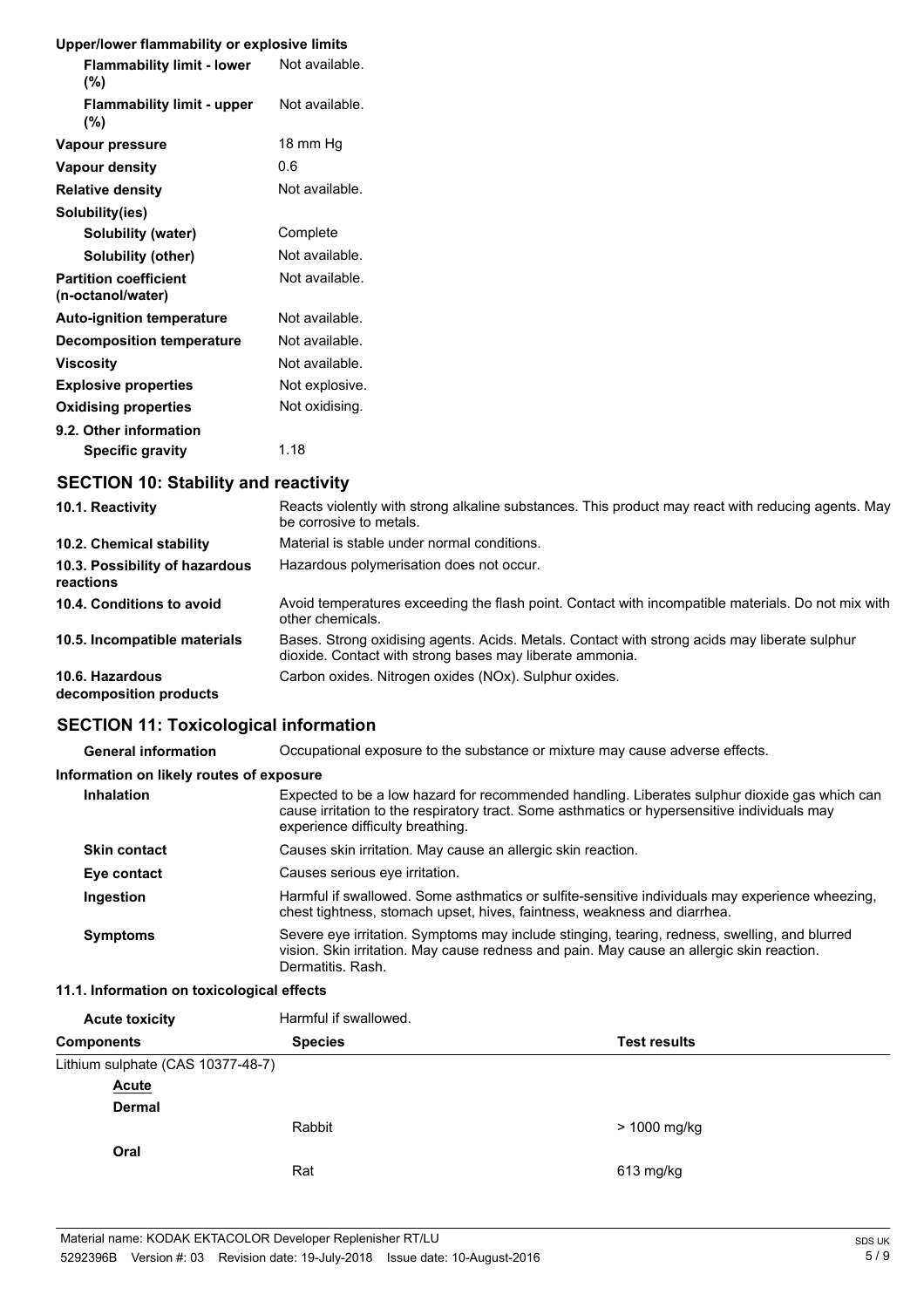#### **Upper/lower flammability or explosive limits**

| <b>Flammability limit - lower</b><br>(%)          | Not available. |
|---------------------------------------------------|----------------|
| <b>Flammability limit - upper</b><br>(%)          | Not available. |
| Vapour pressure                                   | 18 mm Hq       |
| <b>Vapour density</b>                             | 0.6            |
| <b>Relative density</b>                           | Not available. |
| Solubility(ies)                                   |                |
| <b>Solubility (water)</b>                         | Complete       |
| Solubility (other)                                | Not available. |
| <b>Partition coefficient</b><br>(n-octanol/water) | Not available. |
| <b>Auto-ignition temperature</b>                  | Not available. |
| <b>Decomposition temperature</b>                  | Not available. |
| <b>Viscosity</b>                                  | Not available. |
| <b>Explosive properties</b>                       | Not explosive. |
| <b>Oxidising properties</b>                       | Not oxidising. |
| 9.2. Other information                            |                |
| <b>Specific gravity</b>                           | 1.18           |

## **SECTION 10: Stability and reactivity**

| 10.1. Reactivity                            | Reacts violently with strong alkaline substances. This product may react with reducing agents. May<br>be corrosive to metals.                             |
|---------------------------------------------|-----------------------------------------------------------------------------------------------------------------------------------------------------------|
| 10.2. Chemical stability                    | Material is stable under normal conditions.                                                                                                               |
| 10.3. Possibility of hazardous<br>reactions | Hazardous polymerisation does not occur.                                                                                                                  |
| 10.4. Conditions to avoid                   | Avoid temperatures exceeding the flash point. Contact with incompatible materials. Do not mix with<br>other chemicals.                                    |
| 10.5. Incompatible materials                | Bases. Strong oxidising agents. Acids. Metals. Contact with strong acids may liberate sulphur<br>dioxide. Contact with strong bases may liberate ammonia. |
| 10.6. Hazardous<br>decomposition products   | Carbon oxides. Nitrogen oxides (NOx). Sulphur oxides.                                                                                                     |

### **SECTION 11: Toxicological information**

| <b>General information</b>               | Occupational exposure to the substance or mixture may cause adverse effects.                                                                                                                                                      |
|------------------------------------------|-----------------------------------------------------------------------------------------------------------------------------------------------------------------------------------------------------------------------------------|
| Information on likely routes of exposure |                                                                                                                                                                                                                                   |
| Inhalation                               | Expected to be a low hazard for recommended handling. Liberates sulphur dioxide gas which can<br>cause irritation to the respiratory tract. Some asthmatics or hypersensitive individuals may<br>experience difficulty breathing. |
| <b>Skin contact</b>                      | Causes skin irritation. May cause an allergic skin reaction.                                                                                                                                                                      |
| Eye contact                              | Causes serious eve irritation.                                                                                                                                                                                                    |
| Ingestion                                | Harmful if swallowed. Some asthmatics or sulfite-sensitive individuals may experience wheezing,<br>chest tightness, stomach upset, hives, faintness, weakness and diarrhea.                                                       |
| <b>Symptoms</b>                          | Severe eye irritation. Symptoms may include stinging, tearing, redness, swelling, and blurred<br>vision. Skin irritation. May cause redness and pain. May cause an allergic skin reaction.<br>Dermatitis, Rash.                   |

#### **11.1. Information on toxicological effects**

| <b>Acute toxicity</b>             | Harmful if swallowed.                 |              |  |
|-----------------------------------|---------------------------------------|--------------|--|
| <b>Components</b>                 | <b>Species</b><br><b>Test results</b> |              |  |
| Lithium sulphate (CAS 10377-48-7) |                                       |              |  |
| <b>Acute</b>                      |                                       |              |  |
| <b>Dermal</b>                     |                                       |              |  |
|                                   | Rabbit                                | > 1000 mg/kg |  |
| Oral                              |                                       |              |  |
|                                   | Rat                                   | 613 mg/kg    |  |
|                                   |                                       |              |  |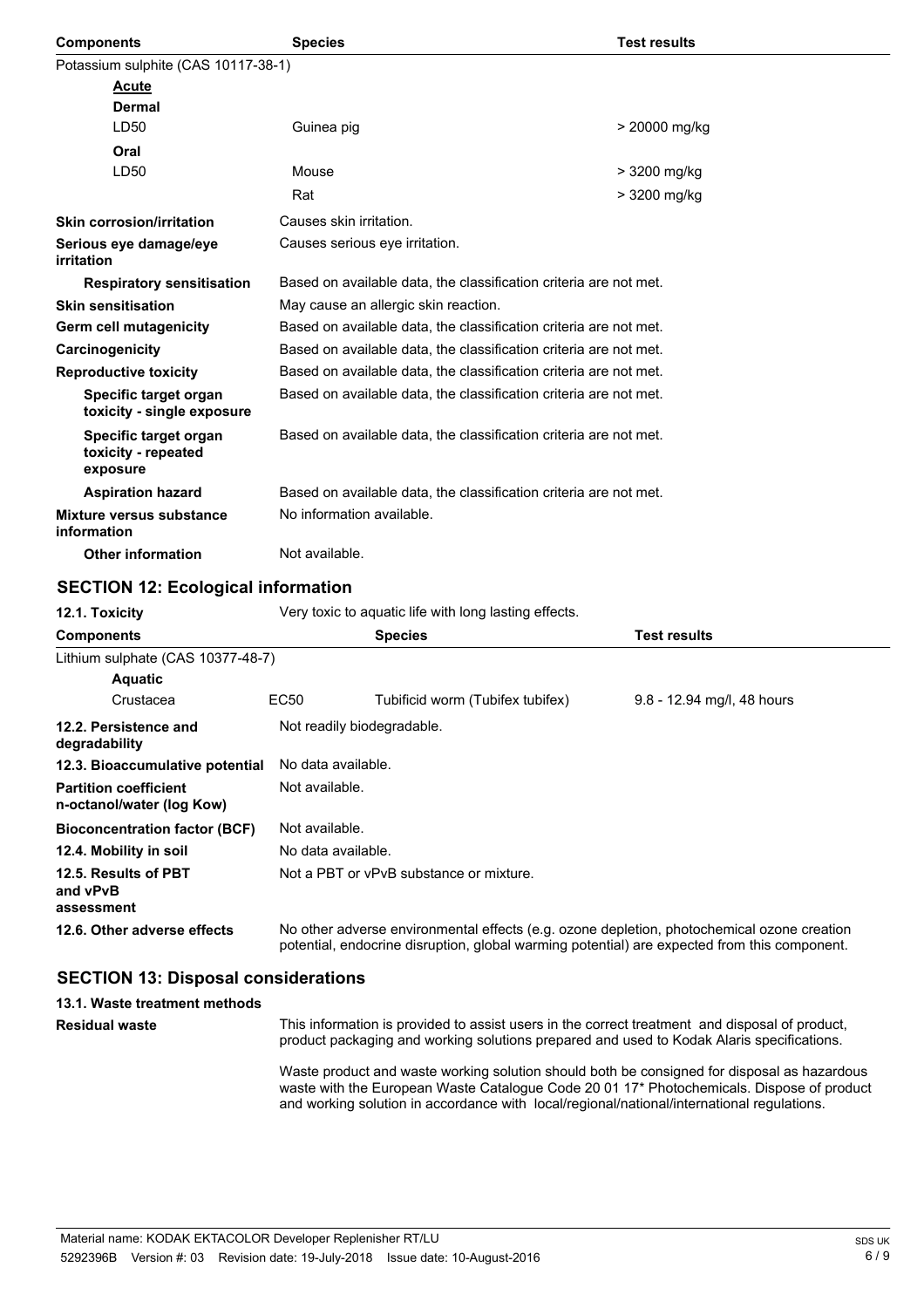| <b>Components</b>                                        | <b>Test results</b><br><b>Species</b>                             |               |  |
|----------------------------------------------------------|-------------------------------------------------------------------|---------------|--|
| Potassium sulphite (CAS 10117-38-1)                      |                                                                   |               |  |
| <b>Acute</b>                                             |                                                                   |               |  |
| Dermal                                                   |                                                                   |               |  |
| LD50                                                     | Guinea pig                                                        | > 20000 mg/kg |  |
| Oral                                                     |                                                                   |               |  |
| LD50                                                     | Mouse                                                             | > 3200 mg/kg  |  |
|                                                          | Rat                                                               | > 3200 mg/kg  |  |
| <b>Skin corrosion/irritation</b>                         | Causes skin irritation.                                           |               |  |
| Serious eye damage/eye<br><i>irritation</i>              | Causes serious eye irritation.                                    |               |  |
| <b>Respiratory sensitisation</b>                         | Based on available data, the classification criteria are not met. |               |  |
| <b>Skin sensitisation</b>                                | May cause an allergic skin reaction.                              |               |  |
| Germ cell mutagenicity                                   | Based on available data, the classification criteria are not met. |               |  |
| Carcinogenicity                                          | Based on available data, the classification criteria are not met. |               |  |
| <b>Reproductive toxicity</b>                             | Based on available data, the classification criteria are not met. |               |  |
| Specific target organ<br>toxicity - single exposure      | Based on available data, the classification criteria are not met. |               |  |
| Specific target organ<br>toxicity - repeated<br>exposure | Based on available data, the classification criteria are not met. |               |  |
| <b>Aspiration hazard</b>                                 | Based on available data, the classification criteria are not met. |               |  |
| Mixture versus substance<br>information                  | No information available.                                         |               |  |
| <b>Other information</b>                                 | Not available.                                                    |               |  |

### **SECTION 12: Ecological information**

| 12.1. Toxicity                                            | Very toxic to aguatic life with long lasting effects. |                                                                                                                                                                                            |                            |  |
|-----------------------------------------------------------|-------------------------------------------------------|--------------------------------------------------------------------------------------------------------------------------------------------------------------------------------------------|----------------------------|--|
| <b>Components</b>                                         |                                                       | <b>Species</b>                                                                                                                                                                             | Test results               |  |
| Lithium sulphate (CAS 10377-48-7)                         |                                                       |                                                                                                                                                                                            |                            |  |
| <b>Aquatic</b>                                            |                                                       |                                                                                                                                                                                            |                            |  |
| Crustacea                                                 | EC50                                                  | Tubificid worm (Tubifex tubifex)                                                                                                                                                           | 9.8 - 12.94 mg/l, 48 hours |  |
| 12.2. Persistence and<br>degradability                    | Not readily biodegradable.                            |                                                                                                                                                                                            |                            |  |
| 12.3. Bioaccumulative potential                           |                                                       | No data available.                                                                                                                                                                         |                            |  |
| <b>Partition coefficient</b><br>n-octanol/water (log Kow) |                                                       | Not available.                                                                                                                                                                             |                            |  |
| <b>Bioconcentration factor (BCF)</b>                      |                                                       | Not available.                                                                                                                                                                             |                            |  |
| 12.4. Mobility in soil                                    |                                                       | No data available.                                                                                                                                                                         |                            |  |
| 12.5. Results of PBT<br>and vPvB<br>assessment            |                                                       | Not a PBT or vPvB substance or mixture.                                                                                                                                                    |                            |  |
| 12.6. Other adverse effects                               |                                                       | No other adverse environmental effects (e.g. ozone depletion, photochemical ozone creation<br>potential, endocrine disruption, global warming potential) are expected from this component. |                            |  |

#### **SECTION 13: Disposal considerations**

**13.1. Waste treatment methods**

**Residual waste**

This information is provided to assist users in the correct treatment and disposal of product, product packaging and working solutions prepared and used to Kodak Alaris specifications.

Waste product and waste working solution should both be consigned for disposal as hazardous waste with the European Waste Catalogue Code 20 01 17\* Photochemicals. Dispose of product and working solution in accordance with local/regional/national/international regulations.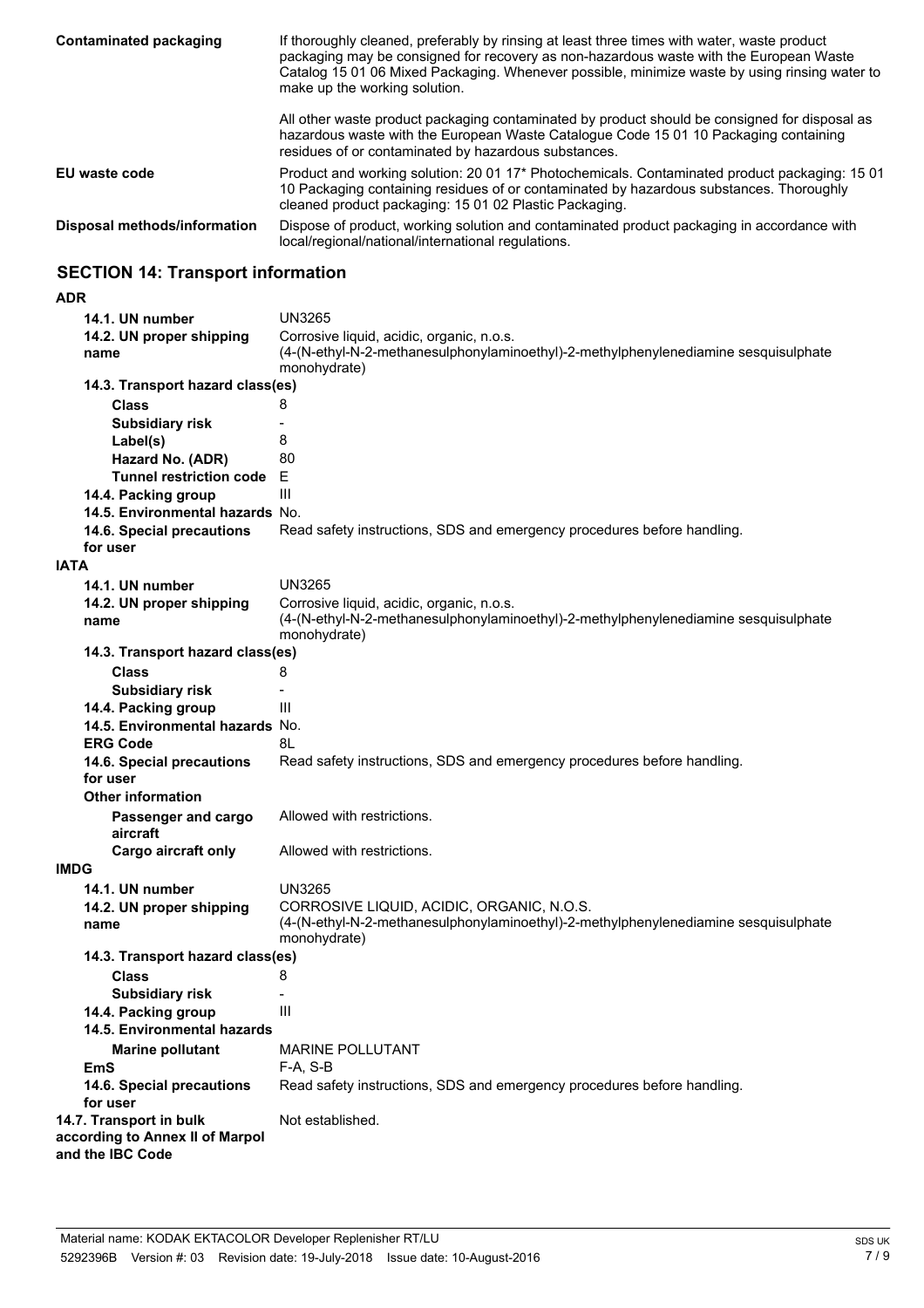| Contaminated packaging       | If thoroughly cleaned, preferably by rinsing at least three times with water, waste product<br>packaging may be consigned for recovery as non-hazardous waste with the European Waste<br>Catalog 15 01 06 Mixed Packaging. Whenever possible, minimize waste by using rinsing water to<br>make up the working solution. |  |
|------------------------------|-------------------------------------------------------------------------------------------------------------------------------------------------------------------------------------------------------------------------------------------------------------------------------------------------------------------------|--|
|                              | All other waste product packaging contaminated by product should be consigned for disposal as<br>hazardous waste with the European Waste Catalogue Code 15 01 10 Packaging containing<br>residues of or contaminated by hazardous substances.                                                                           |  |
| EU waste code                | Product and working solution: 20 01 17* Photochemicals. Contaminated product packaging: 15 01<br>10 Packaging containing residues of or contaminated by hazardous substances. Thoroughly<br>cleaned product packaging: 15 01 02 Plastic Packaging.                                                                      |  |
| Disposal methods/information | Dispose of product, working solution and contaminated product packaging in accordance with<br>local/regional/national/international regulations.                                                                                                                                                                        |  |

## **SECTION 14: Transport information**

#### **ADR**

| 14.1. UN number                                                                | <b>UN3265</b>                                                                                                                                    |  |
|--------------------------------------------------------------------------------|--------------------------------------------------------------------------------------------------------------------------------------------------|--|
| 14.2. UN proper shipping<br>name                                               | Corrosive liquid, acidic, organic, n.o.s.<br>(4-(N-ethyl-N-2-methanesulphonylaminoethyl)-2-methylphenylenediamine sesquisulphate<br>monohydrate) |  |
| 14.3. Transport hazard class(es)                                               |                                                                                                                                                  |  |
| Class                                                                          | 8                                                                                                                                                |  |
| <b>Subsidiary risk</b>                                                         |                                                                                                                                                  |  |
| Label(s)                                                                       | 8                                                                                                                                                |  |
| Hazard No. (ADR)                                                               | 80                                                                                                                                               |  |
| <b>Tunnel restriction code</b>                                                 | Е                                                                                                                                                |  |
| 14.4. Packing group                                                            | Ш                                                                                                                                                |  |
| 14.5. Environmental hazards No.                                                |                                                                                                                                                  |  |
| 14.6. Special precautions                                                      | Read safety instructions, SDS and emergency procedures before handling.                                                                          |  |
| for user                                                                       |                                                                                                                                                  |  |
| <b>IATA</b>                                                                    |                                                                                                                                                  |  |
| 14.1. UN number                                                                | <b>UN3265</b>                                                                                                                                    |  |
| 14.2. UN proper shipping<br>name                                               | Corrosive liquid, acidic, organic, n.o.s.<br>(4-(N-ethyl-N-2-methanesulphonylaminoethyl)-2-methylphenylenediamine sesquisulphate<br>monohydrate) |  |
| 14.3. Transport hazard class(es)                                               |                                                                                                                                                  |  |
| Class                                                                          | 8                                                                                                                                                |  |
| <b>Subsidiary risk</b>                                                         |                                                                                                                                                  |  |
| 14.4. Packing group                                                            | Ш                                                                                                                                                |  |
| 14.5. Environmental hazards No.                                                |                                                                                                                                                  |  |
| <b>ERG Code</b>                                                                | 8L                                                                                                                                               |  |
| 14.6. Special precautions                                                      | Read safety instructions, SDS and emergency procedures before handling.                                                                          |  |
| for user                                                                       |                                                                                                                                                  |  |
| <b>Other information</b>                                                       |                                                                                                                                                  |  |
| Passenger and cargo<br>aircraft                                                | Allowed with restrictions.                                                                                                                       |  |
| Cargo aircraft only                                                            | Allowed with restrictions.                                                                                                                       |  |
| <b>IMDG</b>                                                                    |                                                                                                                                                  |  |
| 14.1. UN number                                                                | <b>UN3265</b>                                                                                                                                    |  |
| 14.2. UN proper shipping<br>name                                               | CORROSIVE LIQUID, ACIDIC, ORGANIC, N.O.S.<br>(4-(N-ethyl-N-2-methanesulphonylaminoethyl)-2-methylphenylenediamine sesquisulphate<br>monohydrate) |  |
| 14.3. Transport hazard class(es)                                               |                                                                                                                                                  |  |
| Class                                                                          | 8                                                                                                                                                |  |
| <b>Subsidiary risk</b>                                                         |                                                                                                                                                  |  |
| 14.4. Packing group                                                            | Ш                                                                                                                                                |  |
| 14.5. Environmental hazards                                                    |                                                                                                                                                  |  |
| <b>Marine pollutant</b>                                                        | <b>MARINE POLLUTANT</b>                                                                                                                          |  |
| <b>EmS</b>                                                                     | $F-A, S-B$                                                                                                                                       |  |
| 14.6. Special precautions<br>for user                                          | Read safety instructions, SDS and emergency procedures before handling.                                                                          |  |
| 14.7. Transport in bulk<br>according to Annex II of Marpol<br>and the IBC Code | Not established.                                                                                                                                 |  |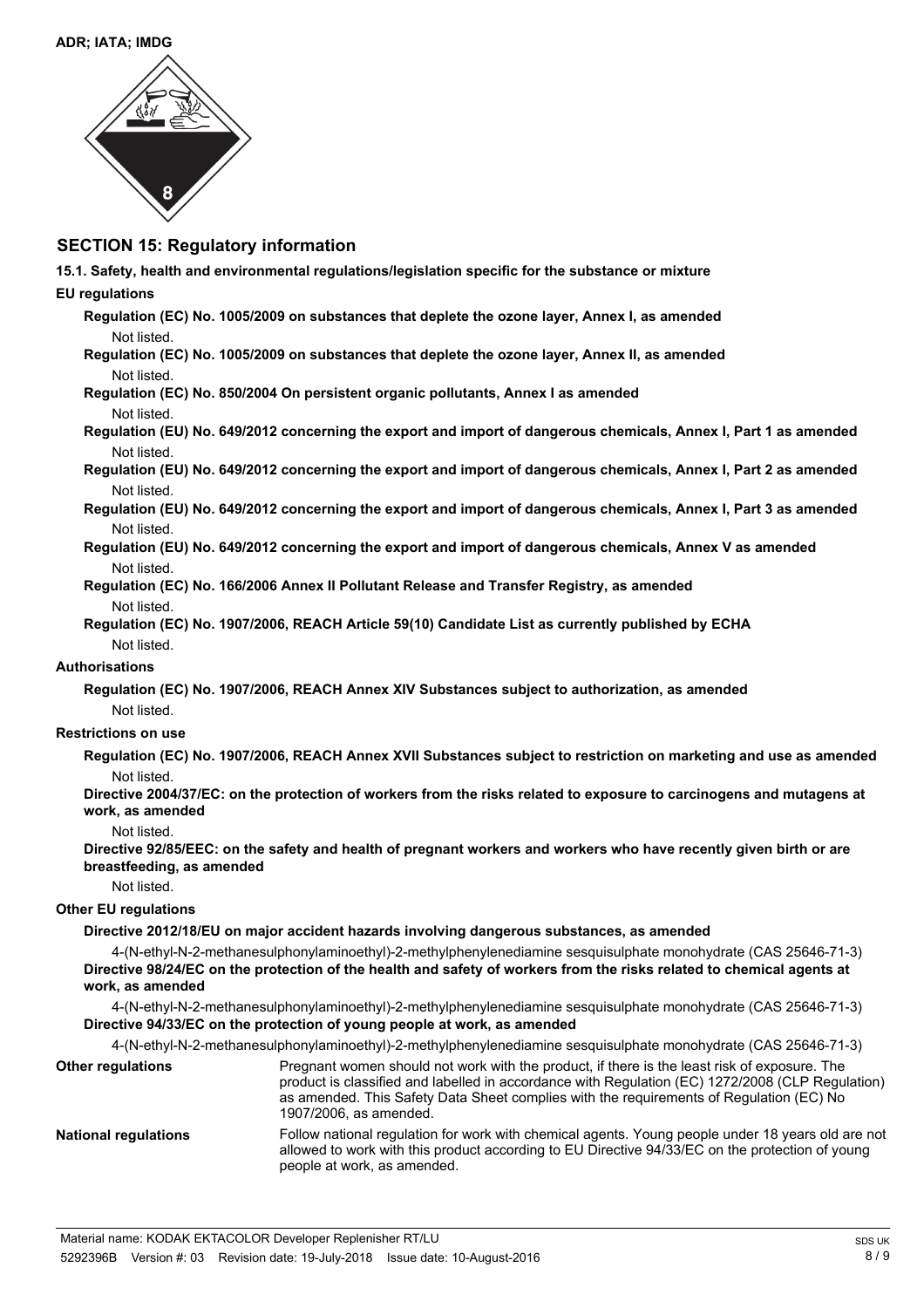

### **SECTION 15: Regulatory information**

**15.1. Safety, health and environmental regulations/legislation specific for the substance or mixture**

#### **EU regulations**

**Regulation (EC) No. 1005/2009 on substances that deplete the ozone layer, Annex I, as amended** Not listed.

- **Regulation (EC) No. 1005/2009 on substances that deplete the ozone layer, Annex II, as amended** Not listed.
- **Regulation (EC) No. 850/2004 On persistent organic pollutants, Annex I as amended** Not listed.
- **Regulation (EU) No. 649/2012 concerning the export and import of dangerous chemicals, Annex I, Part 1 as amended** Not listed.
- **Regulation (EU) No. 649/2012 concerning the export and import of dangerous chemicals, Annex I, Part 2 as amended** Not listed.
- **Regulation (EU) No. 649/2012 concerning the export and import of dangerous chemicals, Annex I, Part 3 as amended** Not listed.
- **Regulation (EU) No. 649/2012 concerning the export and import of dangerous chemicals, Annex V as amended** Not listed.
- **Regulation (EC) No. 166/2006 Annex II Pollutant Release and Transfer Registry, as amended** Not listed.
- **Regulation (EC) No. 1907/2006, REACH Article 59(10) Candidate List as currently published by ECHA** Not listed.

#### **Authorisations**

**Regulation (EC) No. 1907/2006, REACH Annex XIV Substances subject to authorization, as amended** Not listed.

#### **Restrictions on use**

**Regulation (EC) No. 1907/2006, REACH Annex XVII Substances subject to restriction on marketing and use as amended** Not listed.

**Directive 2004/37/EC: on the protection of workers from the risks related to exposure to carcinogens and mutagens at work, as amended**

#### Not listed.

**Directive 92/85/EEC: on the safety and health of pregnant workers and workers who have recently given birth or are breastfeeding, as amended**

#### Not listed.

#### **Other EU regulations**

#### **Directive 2012/18/EU on major accident hazards involving dangerous substances, as amended**

4-(N-ethyl-N-2-methanesulphonylaminoethyl)-2-methylphenylenediamine sesquisulphate monohydrate (CAS 25646-71-3) **Directive 98/24/EC on the protection of the health and safety of workers from the risks related to chemical agents at work, as amended**

4-(N-ethyl-N-2-methanesulphonylaminoethyl)-2-methylphenylenediamine sesquisulphate monohydrate (CAS 25646-71-3) **Directive 94/33/EC on the protection of young people at work, as amended**

4-(N-ethyl-N-2-methanesulphonylaminoethyl)-2-methylphenylenediamine sesquisulphate monohydrate (CAS 25646-71-3)

Pregnant women should not work with the product, if there is the least risk of exposure. The product is classified and labelled in accordance with Regulation (EC) 1272/2008 (CLP Regulation) as amended. This Safety Data Sheet complies with the requirements of Regulation (EC) No 1907/2006, as amended. **Other regulations** Follow national regulation for work with chemical agents. Young people under 18 years old are not allowed to work with this product according to EU Directive 94/33/EC on the protection of young people at work, as amended. **National regulations**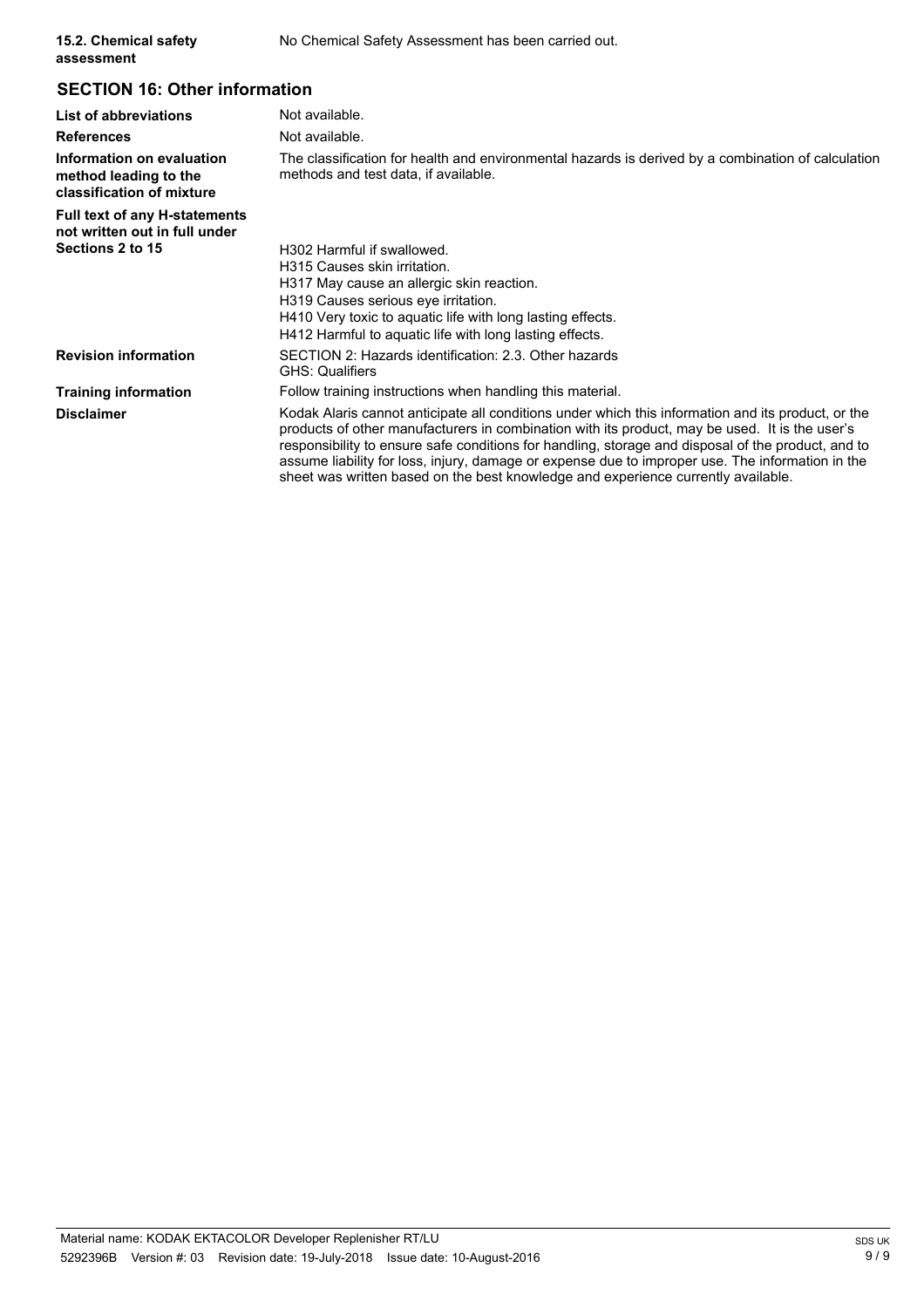## **SECTION 16: Other information**

| List of abbreviations                                                           | Not available.                                                                                                                                                                                                                                                                                                                                                                                                                                                                                      |  |  |
|---------------------------------------------------------------------------------|-----------------------------------------------------------------------------------------------------------------------------------------------------------------------------------------------------------------------------------------------------------------------------------------------------------------------------------------------------------------------------------------------------------------------------------------------------------------------------------------------------|--|--|
| <b>References</b>                                                               | Not available.                                                                                                                                                                                                                                                                                                                                                                                                                                                                                      |  |  |
| Information on evaluation<br>method leading to the<br>classification of mixture | The classification for health and environmental hazards is derived by a combination of calculation<br>methods and test data, if available.                                                                                                                                                                                                                                                                                                                                                          |  |  |
| Full text of any H-statements<br>not written out in full under                  |                                                                                                                                                                                                                                                                                                                                                                                                                                                                                                     |  |  |
| Sections 2 to 15                                                                | H302 Harmful if swallowed.                                                                                                                                                                                                                                                                                                                                                                                                                                                                          |  |  |
|                                                                                 | H315 Causes skin irritation.                                                                                                                                                                                                                                                                                                                                                                                                                                                                        |  |  |
|                                                                                 | H317 May cause an allergic skin reaction.                                                                                                                                                                                                                                                                                                                                                                                                                                                           |  |  |
|                                                                                 | H319 Causes serious eye irritation.                                                                                                                                                                                                                                                                                                                                                                                                                                                                 |  |  |
|                                                                                 | H410 Very toxic to aquatic life with long lasting effects.                                                                                                                                                                                                                                                                                                                                                                                                                                          |  |  |
|                                                                                 | H412 Harmful to aguatic life with long lasting effects.                                                                                                                                                                                                                                                                                                                                                                                                                                             |  |  |
| <b>Revision information</b>                                                     | SECTION 2: Hazards identification: 2.3. Other hazards<br><b>GHS: Qualifiers</b>                                                                                                                                                                                                                                                                                                                                                                                                                     |  |  |
| <b>Training information</b>                                                     | Follow training instructions when handling this material.                                                                                                                                                                                                                                                                                                                                                                                                                                           |  |  |
| <b>Disclaimer</b>                                                               | Kodak Alaris cannot anticipate all conditions under which this information and its product, or the<br>products of other manufacturers in combination with its product, may be used. It is the user's<br>responsibility to ensure safe conditions for handling, storage and disposal of the product, and to<br>assume liability for loss, injury, damage or expense due to improper use. The information in the<br>sheet was written based on the best knowledge and experience currently available. |  |  |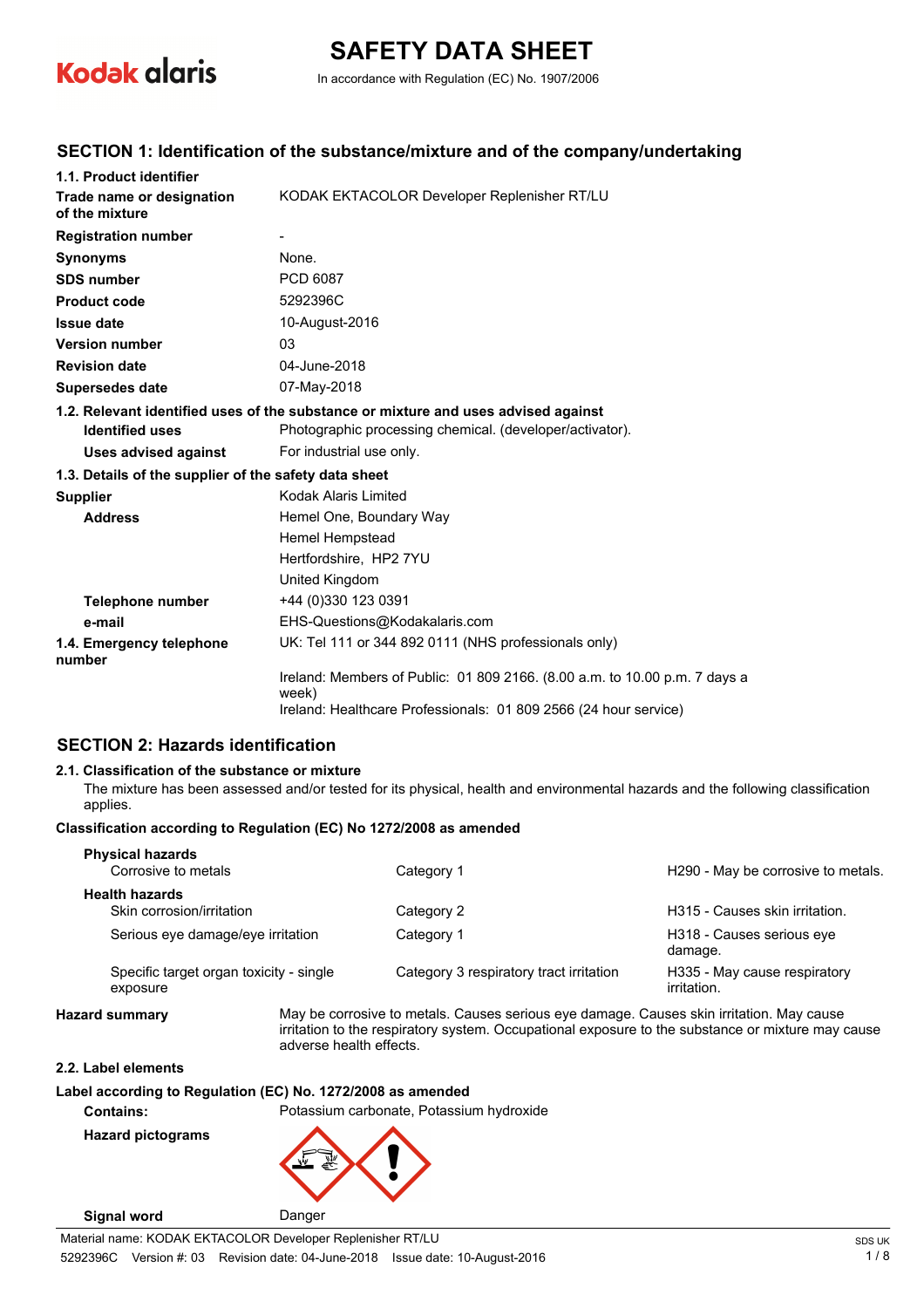

# **SAFETY DATA SHEET**

In accordance with Regulation (EC) No. 1907/2006

### **SECTION 1: Identification of the substance/mixture and of the company/undertaking**

| 1.1. Product identifier                               |                                                                                     |
|-------------------------------------------------------|-------------------------------------------------------------------------------------|
| Trade name or designation<br>of the mixture           | KODAK EKTACOLOR Developer Replenisher RT/LU                                         |
| <b>Registration number</b>                            |                                                                                     |
| <b>Synonyms</b>                                       | None.                                                                               |
| <b>SDS number</b>                                     | PCD 6087                                                                            |
| <b>Product code</b>                                   | 5292396C                                                                            |
| <b>Issue date</b>                                     | 10-August-2016                                                                      |
| <b>Version number</b>                                 | 03                                                                                  |
| <b>Revision date</b>                                  | 04-June-2018                                                                        |
| <b>Supersedes date</b>                                | 07-May-2018                                                                         |
|                                                       | 1.2. Relevant identified uses of the substance or mixture and uses advised against  |
| <b>Identified uses</b>                                | Photographic processing chemical. (developer/activator).                            |
| <b>Uses advised against</b>                           | For industrial use only.                                                            |
| 1.3. Details of the supplier of the safety data sheet |                                                                                     |
| <b>Supplier</b>                                       | Kodak Alaris Limited                                                                |
| <b>Address</b>                                        | Hemel One, Boundary Way                                                             |
|                                                       | Hemel Hempstead                                                                     |
|                                                       | Hertfordshire, HP2 7YU                                                              |
|                                                       | United Kingdom                                                                      |
| Telephone number                                      | +44 (0)330 123 0391                                                                 |
| e-mail                                                | EHS-Questions@Kodakalaris.com                                                       |
| 1.4. Emergency telephone<br>number                    | UK: Tel 111 or 344 892 0111 (NHS professionals only)                                |
|                                                       | Ireland: Members of Public: 01 809 2166. (8.00 a.m. to 10.00 p.m. 7 days a<br>week) |
|                                                       | Ireland: Healthcare Professionals: 01 809 2566 (24 hour service)                    |

### **SECTION 2: Hazards identification**

#### **2.1. Classification of the substance or mixture**

The mixture has been assessed and/or tested for its physical, health and environmental hazards and the following classification applies.

#### **Classification according to Regulation (EC) No 1272/2008 as amended**

| <b>Physical hazards</b><br>Corrosive to metals      | Category 1                              | H290 - May be corrosive to metals.          |
|-----------------------------------------------------|-----------------------------------------|---------------------------------------------|
| <b>Health hazards</b>                               |                                         |                                             |
| Skin corrosion/irritation                           | Category 2                              | H315 - Causes skin irritation.              |
| Serious eye damage/eye irritation                   | Category 1                              | H318 - Causes serious eye<br>damage.        |
| Specific target organ toxicity - single<br>exposure | Category 3 respiratory tract irritation | H335 - May cause respiratory<br>irritation. |

**Hazard summary** May be corrosive to metals. Causes serious eye damage. Causes skin irritation. May cause irritation to the respiratory system. Occupational exposure to the substance or mixture may cause adverse health effects.

#### **2.2. Label elements**

#### **Label according to Regulation (EC) No. 1272/2008 as amended**

**Contains:** Potassium carbonate, Potassium hydroxide

**Hazard pictograms**

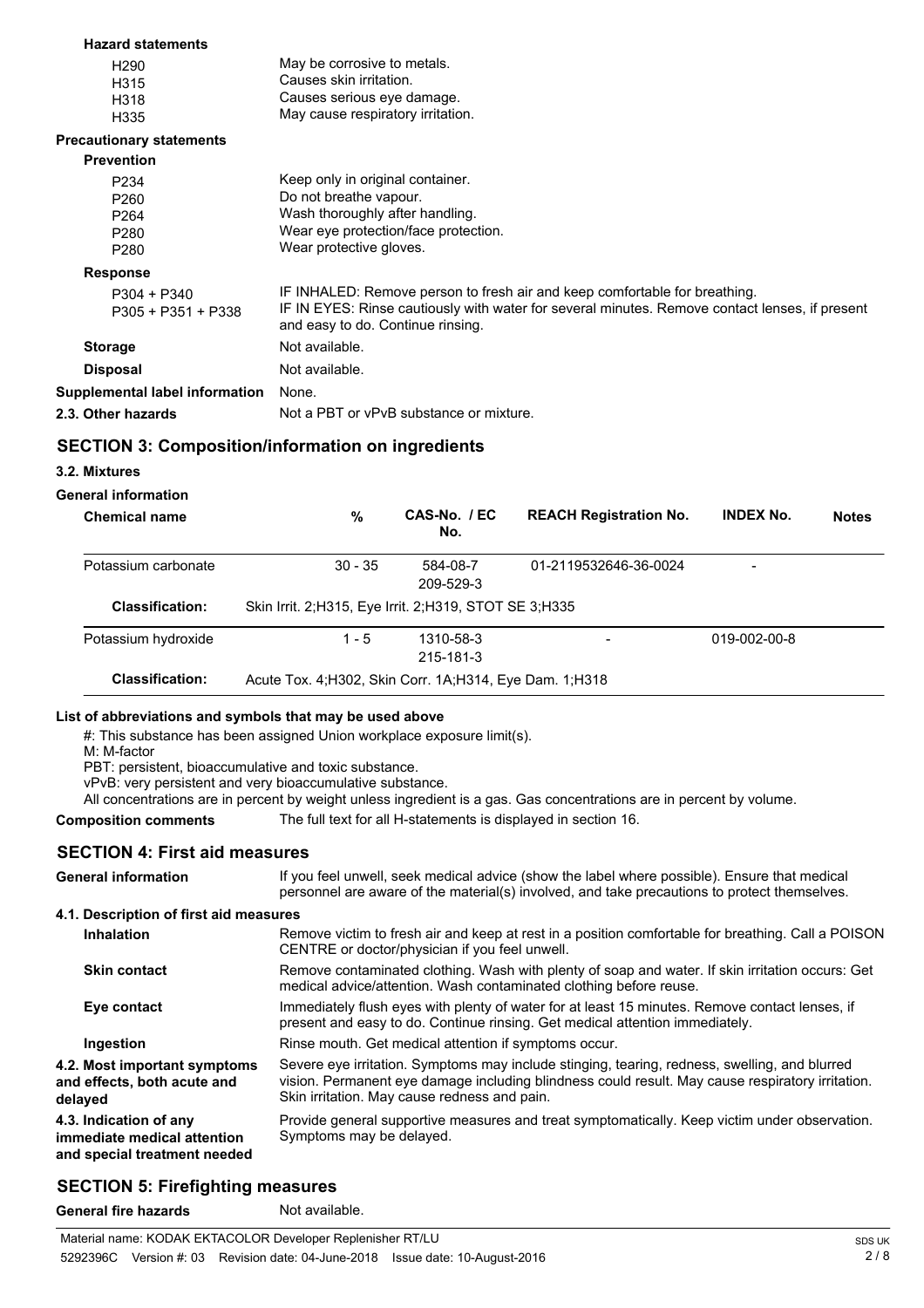| <b>Hazard statements</b>              |                                                                                                                                     |
|---------------------------------------|-------------------------------------------------------------------------------------------------------------------------------------|
| H <sub>290</sub>                      | May be corrosive to metals.                                                                                                         |
| H315                                  | Causes skin irritation.                                                                                                             |
| H318                                  | Causes serious eye damage.                                                                                                          |
| H335                                  | May cause respiratory irritation.                                                                                                   |
| <b>Precautionary statements</b>       |                                                                                                                                     |
| <b>Prevention</b>                     |                                                                                                                                     |
| P234                                  | Keep only in original container.                                                                                                    |
| P <sub>260</sub>                      | Do not breathe vapour.                                                                                                              |
| P <sub>264</sub>                      | Wash thoroughly after handling.                                                                                                     |
| P280                                  | Wear eye protection/face protection.                                                                                                |
| P280                                  | Wear protective gloves.                                                                                                             |
| <b>Response</b>                       |                                                                                                                                     |
| $P304 + P340$                         | IF INHALED: Remove person to fresh air and keep comfortable for breathing.                                                          |
| P305 + P351 + P338                    | IF IN EYES: Rinse cautiously with water for several minutes. Remove contact lenses, if present<br>and easy to do. Continue rinsing. |
| <b>Storage</b>                        | Not available.                                                                                                                      |
| <b>Disposal</b>                       | Not available.                                                                                                                      |
| <b>Supplemental label information</b> | None.                                                                                                                               |
| 2.3. Other hazards                    | Not a PBT or vPvB substance or mixture.                                                                                             |
|                                       |                                                                                                                                     |

## **SECTION 3: Composition/information on ingredients**

#### **3.2. Mixtures**

#### **General information**

| <b>Chemical name</b>   | %                                                         | CAS-No. / EC<br>No.    | <b>REACH Registration No.</b> | <b>INDEX No.</b> | <b>Notes</b> |
|------------------------|-----------------------------------------------------------|------------------------|-------------------------------|------------------|--------------|
| Potassium carbonate    | $30 - 35$                                                 | 584-08-7<br>209-529-3  | 01-2119532646-36-0024         | -                |              |
| <b>Classification:</b> | Skin Irrit. 2; H315, Eye Irrit. 2; H319, STOT SE 3; H335  |                        |                               |                  |              |
| Potassium hydroxide    | $1 - 5$                                                   | 1310-58-3<br>215-181-3 | ۰                             | 019-002-00-8     |              |
| <b>Classification:</b> | Acute Tox. 4: H302, Skin Corr. 1A: H314, Eye Dam. 1: H318 |                        |                               |                  |              |

#### **List of abbreviations and symbols that may be used above**

#: This substance has been assigned Union workplace exposure limit(s).

M: M-factor

PBT: persistent, bioaccumulative and toxic substance.

vPvB: very persistent and very bioaccumulative substance.

All concentrations are in percent by weight unless ingredient is a gas. Gas concentrations are in percent by volume.

**Composition comments** The full text for all H-statements is displayed in section 16.

#### **SECTION 4: First aid measures**

| If you feel unwell, seek medical advice (show the label where possible). Ensure that medical<br>personnel are aware of the material(s) involved, and take precautions to protect themselves.                                                      |
|---------------------------------------------------------------------------------------------------------------------------------------------------------------------------------------------------------------------------------------------------|
| 4.1. Description of first aid measures                                                                                                                                                                                                            |
| Remove victim to fresh air and keep at rest in a position comfortable for breathing. Call a POISON<br>CENTRE or doctor/physician if you feel unwell.                                                                                              |
| Remove contaminated clothing. Wash with plenty of soap and water. If skin irritation occurs: Get<br>medical advice/attention. Wash contaminated clothing before reuse.                                                                            |
| Immediately flush eyes with plenty of water for at least 15 minutes. Remove contact lenses, if<br>present and easy to do. Continue rinsing. Get medical attention immediately.                                                                    |
| Rinse mouth. Get medical attention if symptoms occur.                                                                                                                                                                                             |
| Severe eye irritation. Symptoms may include stinging, tearing, redness, swelling, and blurred<br>vision. Permanent eye damage including blindness could result. May cause respiratory irritation.<br>Skin irritation. May cause redness and pain. |
| Provide general supportive measures and treat symptomatically. Keep victim under observation.<br>Symptoms may be delayed.                                                                                                                         |
|                                                                                                                                                                                                                                                   |

## **SECTION 5: Firefighting measures**

General fire hazards Not available.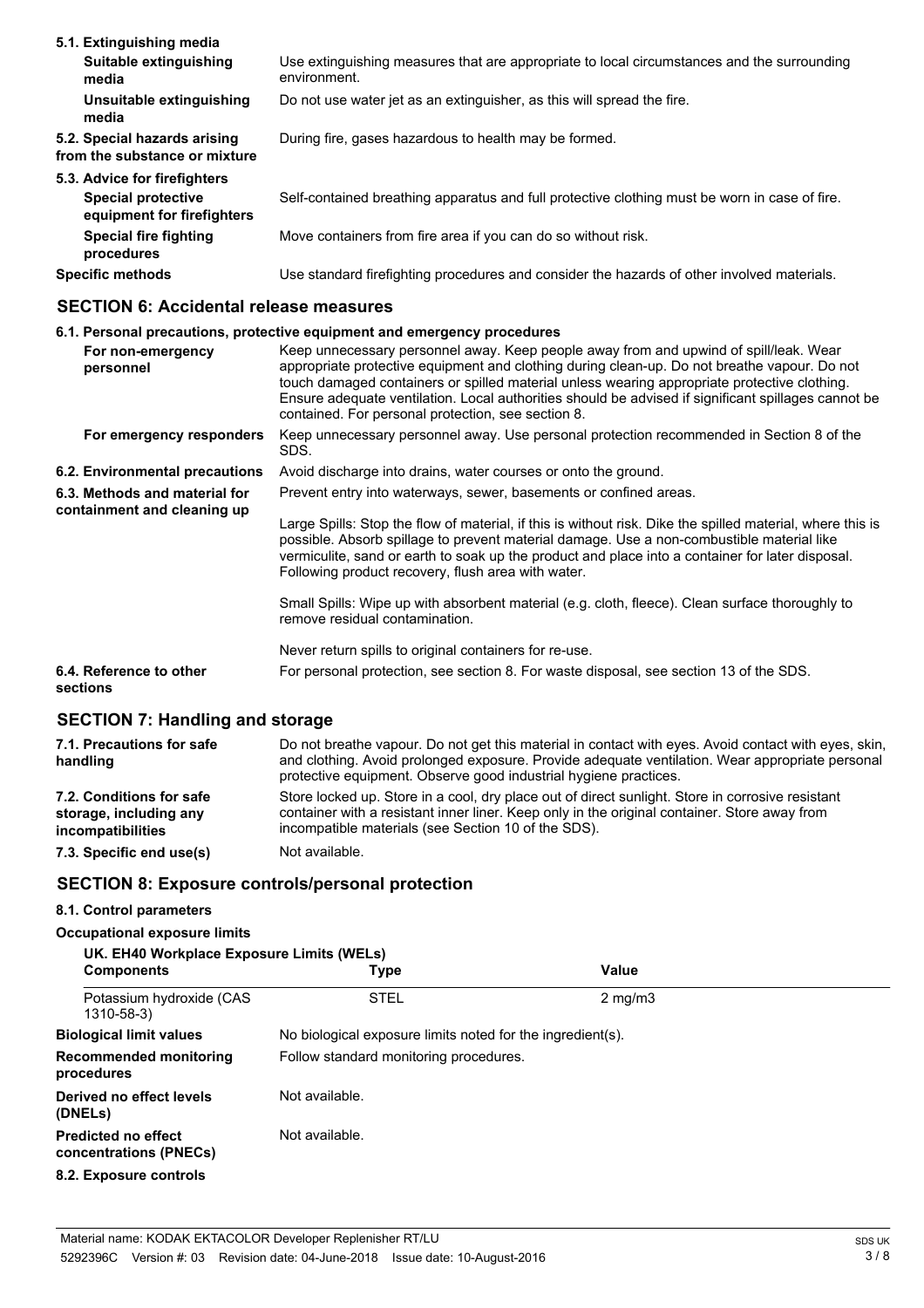| 5.1. Extinguishing media                                      |                                                                                                            |
|---------------------------------------------------------------|------------------------------------------------------------------------------------------------------------|
| Suitable extinguishing<br>media                               | Use extinguishing measures that are appropriate to local circumstances and the surrounding<br>environment. |
| Unsuitable extinguishing<br>media                             | Do not use water jet as an extinguisher, as this will spread the fire.                                     |
| 5.2. Special hazards arising<br>from the substance or mixture | During fire, gases hazardous to health may be formed.                                                      |
| 5.3. Advice for firefighters                                  |                                                                                                            |
| <b>Special protective</b><br>equipment for firefighters       | Self-contained breathing apparatus and full protective clothing must be worn in case of fire.              |
| <b>Special fire fighting</b><br>procedures                    | Move containers from fire area if you can do so without risk.                                              |
| <b>Specific methods</b>                                       | Use standard firefighting procedures and consider the hazards of other involved materials.                 |

### **SECTION 6: Accidental release measures**

## **6.1. Personal precautions, protective equipment and emergency procedures**

|                                                              | For non-emergency<br>personnel      | Keep unnecessary personnel away. Keep people away from and upwind of spill/leak. Wear<br>appropriate protective equipment and clothing during clean-up. Do not breathe vapour. Do not<br>touch damaged containers or spilled material unless wearing appropriate protective clothing.<br>Ensure adequate ventilation. Local authorities should be advised if significant spillages cannot be<br>contained. For personal protection, see section 8. |
|--------------------------------------------------------------|-------------------------------------|----------------------------------------------------------------------------------------------------------------------------------------------------------------------------------------------------------------------------------------------------------------------------------------------------------------------------------------------------------------------------------------------------------------------------------------------------|
|                                                              | For emergency responders            | Keep unnecessary personnel away. Use personal protection recommended in Section 8 of the<br>SDS.                                                                                                                                                                                                                                                                                                                                                   |
|                                                              | 6.2. Environmental precautions      | Avoid discharge into drains, water courses or onto the ground.                                                                                                                                                                                                                                                                                                                                                                                     |
| 6.3. Methods and material for<br>containment and cleaning up |                                     | Prevent entry into waterways, sewer, basements or confined areas.                                                                                                                                                                                                                                                                                                                                                                                  |
|                                                              |                                     | Large Spills: Stop the flow of material, if this is without risk. Dike the spilled material, where this is<br>possible. Absorb spillage to prevent material damage. Use a non-combustible material like<br>vermiculite, sand or earth to soak up the product and place into a container for later disposal.<br>Following product recovery, flush area with water.                                                                                  |
|                                                              |                                     | Small Spills: Wipe up with absorbent material (e.g. cloth, fleece). Clean surface thoroughly to<br>remove residual contamination.                                                                                                                                                                                                                                                                                                                  |
|                                                              |                                     | Never return spills to original containers for re-use.                                                                                                                                                                                                                                                                                                                                                                                             |
|                                                              | 6.4. Reference to other<br>sections | For personal protection, see section 8. For waste disposal, see section 13 of the SDS.                                                                                                                                                                                                                                                                                                                                                             |
|                                                              |                                     |                                                                                                                                                                                                                                                                                                                                                                                                                                                    |

### **SECTION 7: Handling and storage**

| 7.1. Precautions for safe<br>handling                                   | Do not breathe vapour. Do not get this material in contact with eyes. Avoid contact with eyes, skin,<br>and clothing. Avoid prolonged exposure. Provide adequate ventilation. Wear appropriate personal<br>protective equipment. Observe good industrial hygiene practices. |
|-------------------------------------------------------------------------|-----------------------------------------------------------------------------------------------------------------------------------------------------------------------------------------------------------------------------------------------------------------------------|
| 7.2. Conditions for safe<br>storage, including any<br>incompatibilities | Store locked up. Store in a cool, dry place out of direct sunlight. Store in corrosive resistant<br>container with a resistant inner liner. Keep only in the original container. Store away from<br>incompatible materials (see Section 10 of the SDS).                     |
| 7.3. Specific end use(s)                                                | Not available.                                                                                                                                                                                                                                                              |

## **SECTION 8: Exposure controls/personal protection**

## **8.1. Control parameters**

#### **Occupational exposure limits**

| UK. EH40 Workplace Exposure Limits (WELs)            |                                                            |                  |  |
|------------------------------------------------------|------------------------------------------------------------|------------------|--|
| <b>Components</b>                                    | <b>Type</b>                                                | Value            |  |
| Potassium hydroxide (CAS<br>1310-58-3)               | <b>STEL</b>                                                | $2 \text{ mg/m}$ |  |
| <b>Biological limit values</b>                       | No biological exposure limits noted for the ingredient(s). |                  |  |
| <b>Recommended monitoring</b><br>procedures          | Follow standard monitoring procedures.                     |                  |  |
| Derived no effect levels<br>(DNELs)                  | Not available.                                             |                  |  |
| <b>Predicted no effect</b><br>concentrations (PNECs) | Not available.                                             |                  |  |
| 8.2. Exposure controls                               |                                                            |                  |  |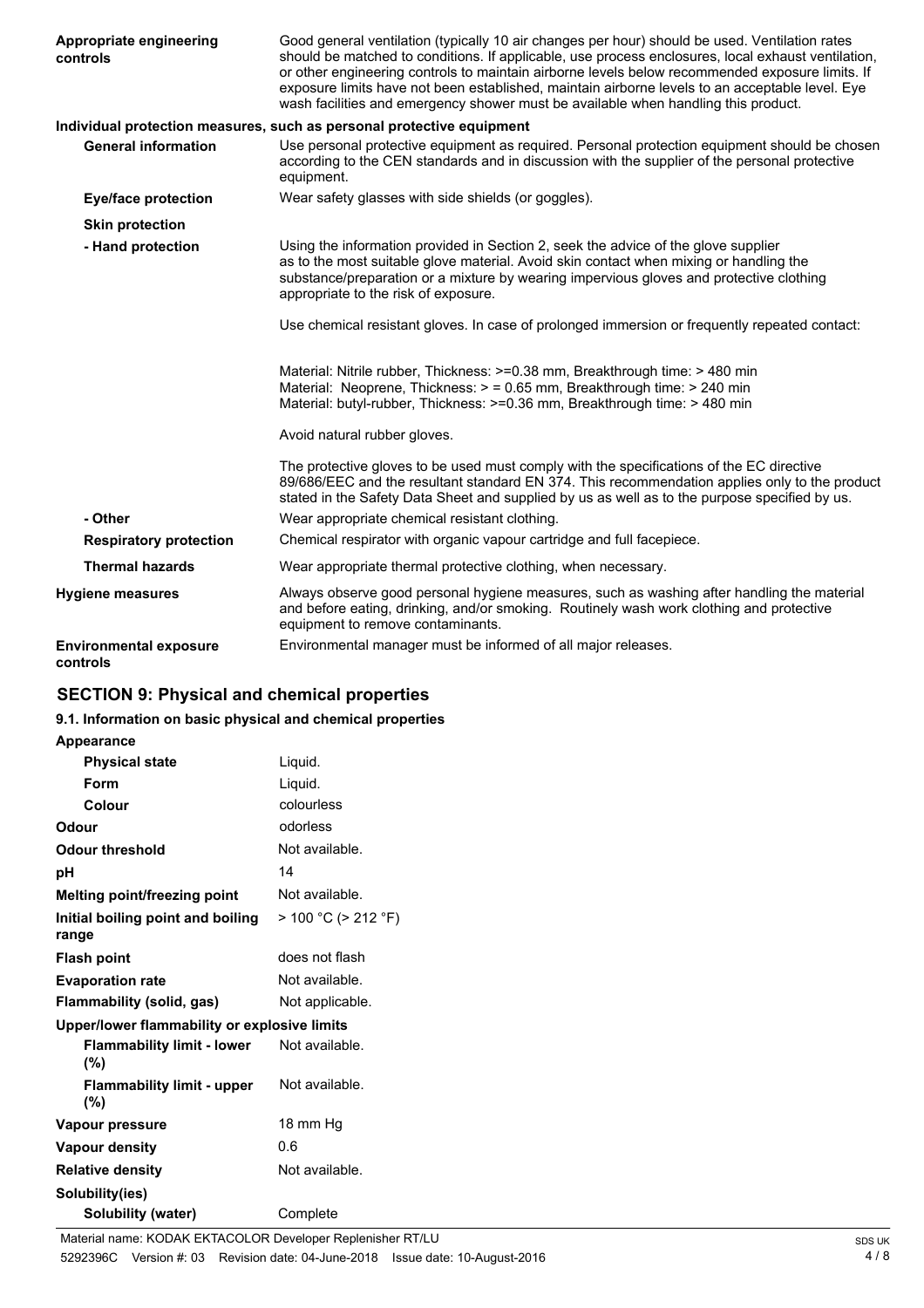| Appropriate engineering<br>controls       | Good general ventilation (typically 10 air changes per hour) should be used. Ventilation rates<br>should be matched to conditions. If applicable, use process enclosures, local exhaust ventilation,<br>or other engineering controls to maintain airborne levels below recommended exposure limits. If<br>exposure limits have not been established, maintain airborne levels to an acceptable level. Eye<br>wash facilities and emergency shower must be available when handling this product. |
|-------------------------------------------|--------------------------------------------------------------------------------------------------------------------------------------------------------------------------------------------------------------------------------------------------------------------------------------------------------------------------------------------------------------------------------------------------------------------------------------------------------------------------------------------------|
|                                           | Individual protection measures, such as personal protective equipment                                                                                                                                                                                                                                                                                                                                                                                                                            |
| <b>General information</b>                | Use personal protective equipment as required. Personal protection equipment should be chosen<br>according to the CEN standards and in discussion with the supplier of the personal protective<br>equipment.                                                                                                                                                                                                                                                                                     |
| <b>Eye/face protection</b>                | Wear safety glasses with side shields (or goggles).                                                                                                                                                                                                                                                                                                                                                                                                                                              |
| <b>Skin protection</b>                    |                                                                                                                                                                                                                                                                                                                                                                                                                                                                                                  |
| - Hand protection                         | Using the information provided in Section 2, seek the advice of the glove supplier<br>as to the most suitable glove material. Avoid skin contact when mixing or handling the<br>substance/preparation or a mixture by wearing impervious gloves and protective clothing<br>appropriate to the risk of exposure.                                                                                                                                                                                  |
|                                           | Use chemical resistant gloves. In case of prolonged immersion or frequently repeated contact:                                                                                                                                                                                                                                                                                                                                                                                                    |
|                                           | Material: Nitrile rubber, Thickness: >=0.38 mm, Breakthrough time: > 480 min<br>Material: Neoprene, Thickness: > = 0.65 mm, Breakthrough time: > 240 min<br>Material: butyl-rubber, Thickness: >=0.36 mm, Breakthrough time: > 480 min                                                                                                                                                                                                                                                           |
|                                           | Avoid natural rubber gloves.                                                                                                                                                                                                                                                                                                                                                                                                                                                                     |
|                                           | The protective gloves to be used must comply with the specifications of the EC directive<br>89/686/EEC and the resultant standard EN 374. This recommendation applies only to the product<br>stated in the Safety Data Sheet and supplied by us as well as to the purpose specified by us.                                                                                                                                                                                                       |
| - Other                                   | Wear appropriate chemical resistant clothing.                                                                                                                                                                                                                                                                                                                                                                                                                                                    |
| <b>Respiratory protection</b>             | Chemical respirator with organic vapour cartridge and full facepiece.                                                                                                                                                                                                                                                                                                                                                                                                                            |
| <b>Thermal hazards</b>                    | Wear appropriate thermal protective clothing, when necessary.                                                                                                                                                                                                                                                                                                                                                                                                                                    |
| <b>Hygiene measures</b>                   | Always observe good personal hygiene measures, such as washing after handling the material<br>and before eating, drinking, and/or smoking. Routinely wash work clothing and protective<br>equipment to remove contaminants.                                                                                                                                                                                                                                                                      |
| <b>Environmental exposure</b><br>controls | Environmental manager must be informed of all major releases.                                                                                                                                                                                                                                                                                                                                                                                                                                    |

## **SECTION 9: Physical and chemical properties**

## **9.1. Information on basic physical and chemical properties**

**Appearance**

| <b>Physical state</b>                        | Liquid.             |
|----------------------------------------------|---------------------|
| Form                                         | Liquid.             |
| Colour                                       | colourless          |
| Odour                                        | odorless            |
| Odour threshold                              | Not available.      |
| рH                                           | 14                  |
| <b>Melting point/freezing point</b>          | Not available.      |
| Initial boiling point and boiling<br>range   | > 100 °C (> 212 °F) |
| <b>Flash point</b>                           | does not flash      |
| <b>Evaporation rate</b>                      | Not available.      |
| Flammability (solid, gas)                    | Not applicable.     |
| Upper/lower flammability or explosive limits |                     |
| <b>Flammability limit - lower</b><br>(%)     | Not available.      |
| <b>Flammability limit - upper</b><br>(%)     | Not available.      |
| Vapour pressure                              | 18 mm Hq            |
| Vapour density                               | 0.6                 |
| <b>Relative density</b>                      | Not available.      |
| Solubility(ies)                              |                     |
| Solubility (water)                           | Complete            |
|                                              |                     |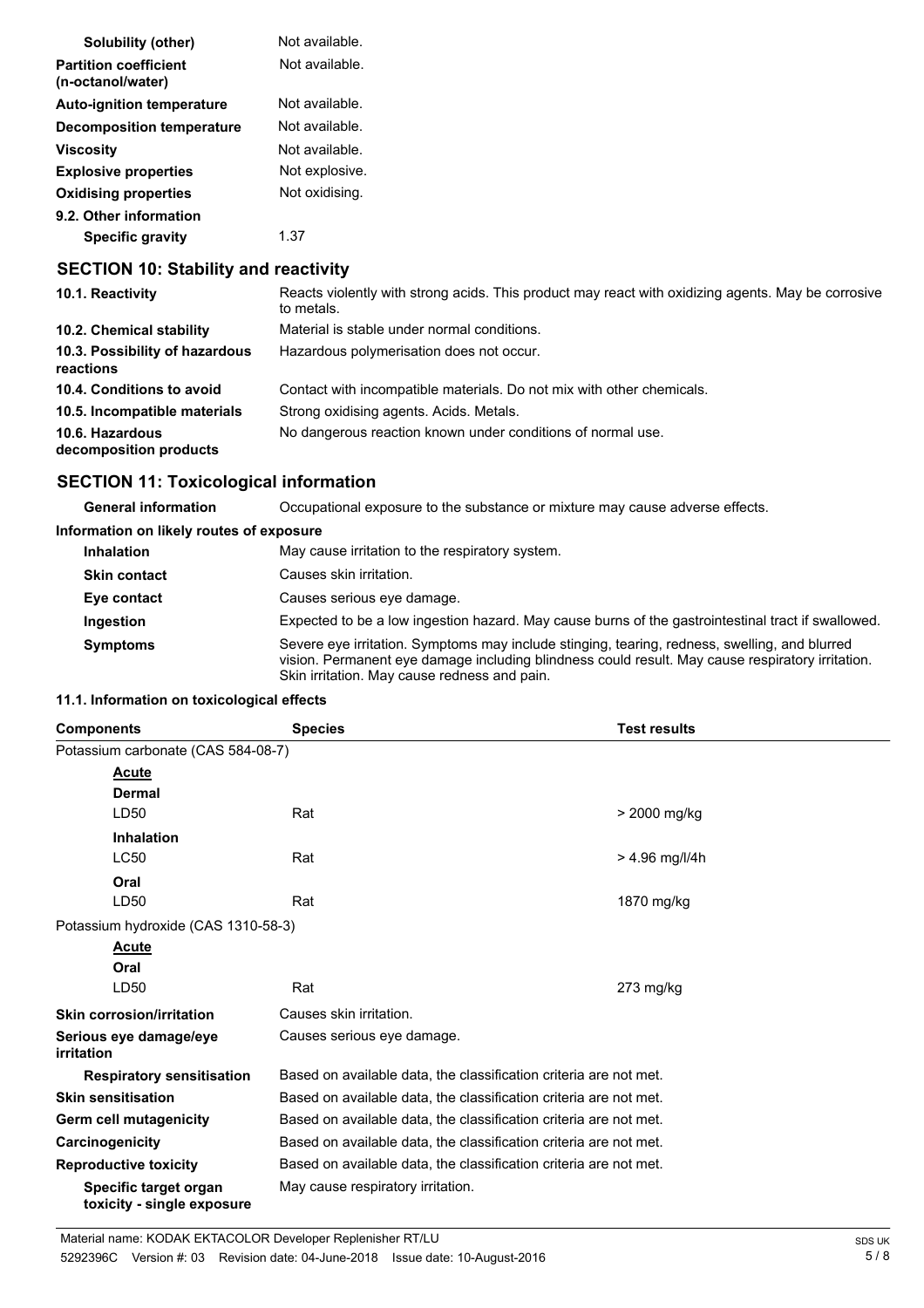| Solubility (other)                                | Not available. |
|---------------------------------------------------|----------------|
| <b>Partition coefficient</b><br>(n-octanol/water) | Not available. |
| <b>Auto-ignition temperature</b>                  | Not available. |
| <b>Decomposition temperature</b>                  | Not available. |
| <b>Viscosity</b>                                  | Not available. |
| <b>Explosive properties</b>                       | Not explosive. |
| <b>Oxidising properties</b>                       | Not oxidising. |
| 9.2. Other information<br><b>Specific gravity</b> | 1.37           |

## **SECTION 10: Stability and reactivity**

| 10.1. Reactivity                            | Reacts violently with strong acids. This product may react with oxidizing agents. May be corrosive<br>to metals. |
|---------------------------------------------|------------------------------------------------------------------------------------------------------------------|
| 10.2. Chemical stability                    | Material is stable under normal conditions.                                                                      |
| 10.3. Possibility of hazardous<br>reactions | Hazardous polymerisation does not occur.                                                                         |
| 10.4. Conditions to avoid                   | Contact with incompatible materials. Do not mix with other chemicals.                                            |
| 10.5. Incompatible materials                | Strong oxidising agents. Acids. Metals.                                                                          |
| 10.6. Hazardous<br>decomposition products   | No dangerous reaction known under conditions of normal use.                                                      |

## **SECTION 11: Toxicological information**

**General information** Occupational exposure to the substance or mixture may cause adverse effects.

#### **Information on likely routes of exposure**

| <b>Inhalation</b>   | May cause irritation to the respiratory system.                                                                                                                                                                                                   |
|---------------------|---------------------------------------------------------------------------------------------------------------------------------------------------------------------------------------------------------------------------------------------------|
| <b>Skin contact</b> | Causes skin irritation.                                                                                                                                                                                                                           |
| Eye contact         | Causes serious eye damage.                                                                                                                                                                                                                        |
| Ingestion           | Expected to be a low ingestion hazard. May cause burns of the gastrointestinal tract if swallowed.                                                                                                                                                |
| <b>Symptoms</b>     | Severe eye irritation. Symptoms may include stinging, tearing, redness, swelling, and blurred<br>vision. Permanent eye damage including blindness could result. May cause respiratory irritation.<br>Skin irritation. May cause redness and pain. |

#### **11.1. Information on toxicological effects**

| <b>Components</b>                                   | <b>Species</b>                                                    | <b>Test results</b> |  |
|-----------------------------------------------------|-------------------------------------------------------------------|---------------------|--|
| Potassium carbonate (CAS 584-08-7)                  |                                                                   |                     |  |
| Acute                                               |                                                                   |                     |  |
| <b>Dermal</b>                                       |                                                                   |                     |  |
| LD50                                                | Rat                                                               | > 2000 mg/kg        |  |
| <b>Inhalation</b>                                   |                                                                   |                     |  |
| <b>LC50</b>                                         | Rat                                                               | $> 4.96$ mg/l/4h    |  |
| Oral                                                |                                                                   |                     |  |
| LD50                                                | Rat                                                               | 1870 mg/kg          |  |
| Potassium hydroxide (CAS 1310-58-3)                 |                                                                   |                     |  |
| Acute                                               |                                                                   |                     |  |
| Oral                                                |                                                                   |                     |  |
| LD50                                                | Rat                                                               | $273$ mg/kg         |  |
| <b>Skin corrosion/irritation</b>                    | Causes skin irritation.                                           |                     |  |
| Serious eye damage/eye<br>irritation                | Causes serious eye damage.                                        |                     |  |
| <b>Respiratory sensitisation</b>                    | Based on available data, the classification criteria are not met. |                     |  |
| <b>Skin sensitisation</b>                           | Based on available data, the classification criteria are not met. |                     |  |
| Germ cell mutagenicity                              | Based on available data, the classification criteria are not met. |                     |  |
| Carcinogenicity                                     | Based on available data, the classification criteria are not met. |                     |  |
| <b>Reproductive toxicity</b>                        | Based on available data, the classification criteria are not met. |                     |  |
| Specific target organ<br>toxicity - single exposure | May cause respiratory irritation.                                 |                     |  |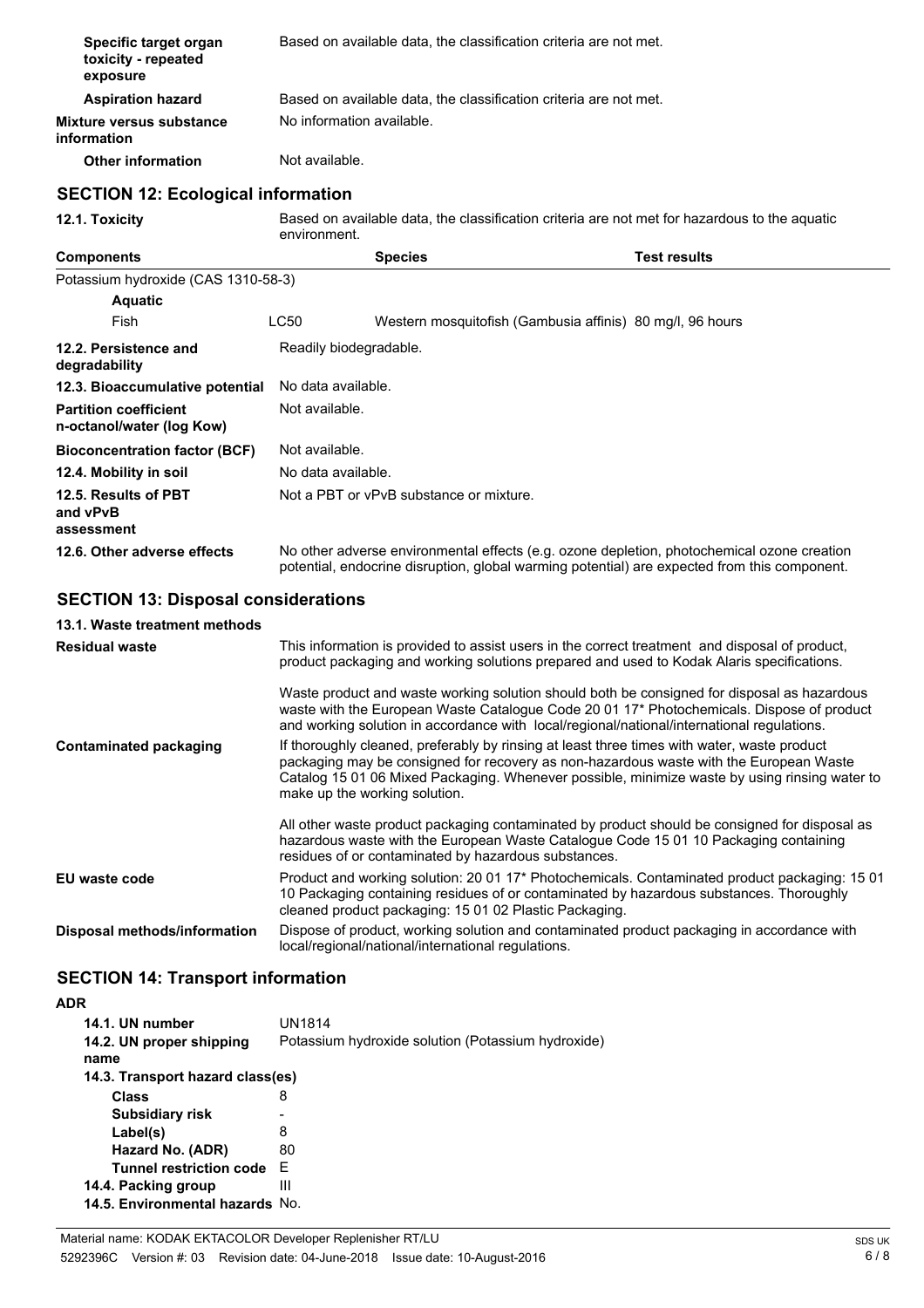| Specific target organ<br>toxicity - repeated<br>exposure  | Based on available data, the classification criteria are not met. |                                                      |                                                                   |                                                                                                                                                                                                                                                                                        |  |
|-----------------------------------------------------------|-------------------------------------------------------------------|------------------------------------------------------|-------------------------------------------------------------------|----------------------------------------------------------------------------------------------------------------------------------------------------------------------------------------------------------------------------------------------------------------------------------------|--|
| <b>Aspiration hazard</b>                                  |                                                                   |                                                      | Based on available data, the classification criteria are not met. |                                                                                                                                                                                                                                                                                        |  |
| <b>Mixture versus substance</b><br>information            | No information available.                                         |                                                      |                                                                   |                                                                                                                                                                                                                                                                                        |  |
| <b>Other information</b>                                  | Not available.                                                    |                                                      |                                                                   |                                                                                                                                                                                                                                                                                        |  |
| <b>SECTION 12: Ecological information</b>                 |                                                                   |                                                      |                                                                   |                                                                                                                                                                                                                                                                                        |  |
| 12.1. Toxicity                                            | environment.                                                      |                                                      |                                                                   | Based on available data, the classification criteria are not met for hazardous to the aquatic                                                                                                                                                                                          |  |
| <b>Components</b>                                         |                                                                   | <b>Species</b>                                       |                                                                   | <b>Test results</b>                                                                                                                                                                                                                                                                    |  |
| Potassium hydroxide (CAS 1310-58-3)                       |                                                                   |                                                      |                                                                   |                                                                                                                                                                                                                                                                                        |  |
| <b>Aquatic</b>                                            |                                                                   |                                                      |                                                                   |                                                                                                                                                                                                                                                                                        |  |
| Fish                                                      | LC50                                                              |                                                      | Western mosquitofish (Gambusia affinis) 80 mg/l, 96 hours         |                                                                                                                                                                                                                                                                                        |  |
| 12.2. Persistence and<br>degradability                    | Readily biodegradable.                                            |                                                      |                                                                   |                                                                                                                                                                                                                                                                                        |  |
| 12.3. Bioaccumulative potential                           | No data available.                                                |                                                      |                                                                   |                                                                                                                                                                                                                                                                                        |  |
| <b>Partition coefficient</b><br>n-octanol/water (log Kow) | Not available.                                                    |                                                      |                                                                   |                                                                                                                                                                                                                                                                                        |  |
| <b>Bioconcentration factor (BCF)</b>                      | Not available.                                                    |                                                      |                                                                   |                                                                                                                                                                                                                                                                                        |  |
| 12.4. Mobility in soil                                    | No data available.                                                |                                                      |                                                                   |                                                                                                                                                                                                                                                                                        |  |
| 12.5. Results of PBT<br>and vPvB<br>assessment            |                                                                   | Not a PBT or vPvB substance or mixture.              |                                                                   |                                                                                                                                                                                                                                                                                        |  |
| 12.6. Other adverse effects                               |                                                                   |                                                      |                                                                   | No other adverse environmental effects (e.g. ozone depletion, photochemical ozone creation<br>potential, endocrine disruption, global warming potential) are expected from this component.                                                                                             |  |
| <b>SECTION 13: Disposal considerations</b>                |                                                                   |                                                      |                                                                   |                                                                                                                                                                                                                                                                                        |  |
| 13.1. Waste treatment methods                             |                                                                   |                                                      |                                                                   |                                                                                                                                                                                                                                                                                        |  |
| <b>Residual waste</b>                                     |                                                                   |                                                      |                                                                   | This information is provided to assist users in the correct treatment and disposal of product,<br>product packaging and working solutions prepared and used to Kodak Alaris specifications.                                                                                            |  |
|                                                           |                                                                   |                                                      |                                                                   | Waste product and waste working solution should both be consigned for disposal as hazardous<br>waste with the European Waste Catalogue Code 20 01 17* Photochemicals. Dispose of product<br>and working solution in accordance with local/regional/national/international regulations. |  |
| <b>Contaminated packaging</b>                             |                                                                   | make up the working solution.                        |                                                                   | If thoroughly cleaned, preferably by rinsing at least three times with water, waste product<br>packaging may be consigned for recovery as non-hazardous waste with the European Waste<br>Catalog 15 01 06 Mixed Packaging. Whenever possible, minimize waste by using rinsing water to |  |
|                                                           |                                                                   | residues of or contaminated by hazardous substances. |                                                                   | All other waste product packaging contaminated by product should be consigned for disposal as<br>hazardous waste with the European Waste Catalogue Code 15 01 10 Packaging containing                                                                                                  |  |
| <b>EU</b> waste code                                      |                                                                   |                                                      | cleaned product packaging: 15 01 02 Plastic Packaging.            | Product and working solution: 20 01 17* Photochemicals. Contaminated product packaging: 15 01<br>10 Packaging containing residues of or contaminated by hazardous substances. Thoroughly                                                                                               |  |
| Disposal methods/information                              |                                                                   | local/regional/national/international regulations.   |                                                                   | Dispose of product, working solution and contaminated product packaging in accordance with                                                                                                                                                                                             |  |

## **SECTION 14: Transport information**

| <b>ADR</b>                       |                                                    |
|----------------------------------|----------------------------------------------------|
| 14.1. UN number                  | UN1814                                             |
| 14.2. UN proper shipping<br>name | Potassium hydroxide solution (Potassium hydroxide) |
| 14.3. Transport hazard class(es) |                                                    |
| <b>Class</b>                     | 8                                                  |
| <b>Subsidiary risk</b>           |                                                    |
| Label(s)                         | 8                                                  |
| Hazard No. (ADR)                 | 80                                                 |
| <b>Tunnel restriction code</b>   | F                                                  |
| 14.4. Packing group              | Ш                                                  |
| 14.5. Environmental hazards No.  |                                                    |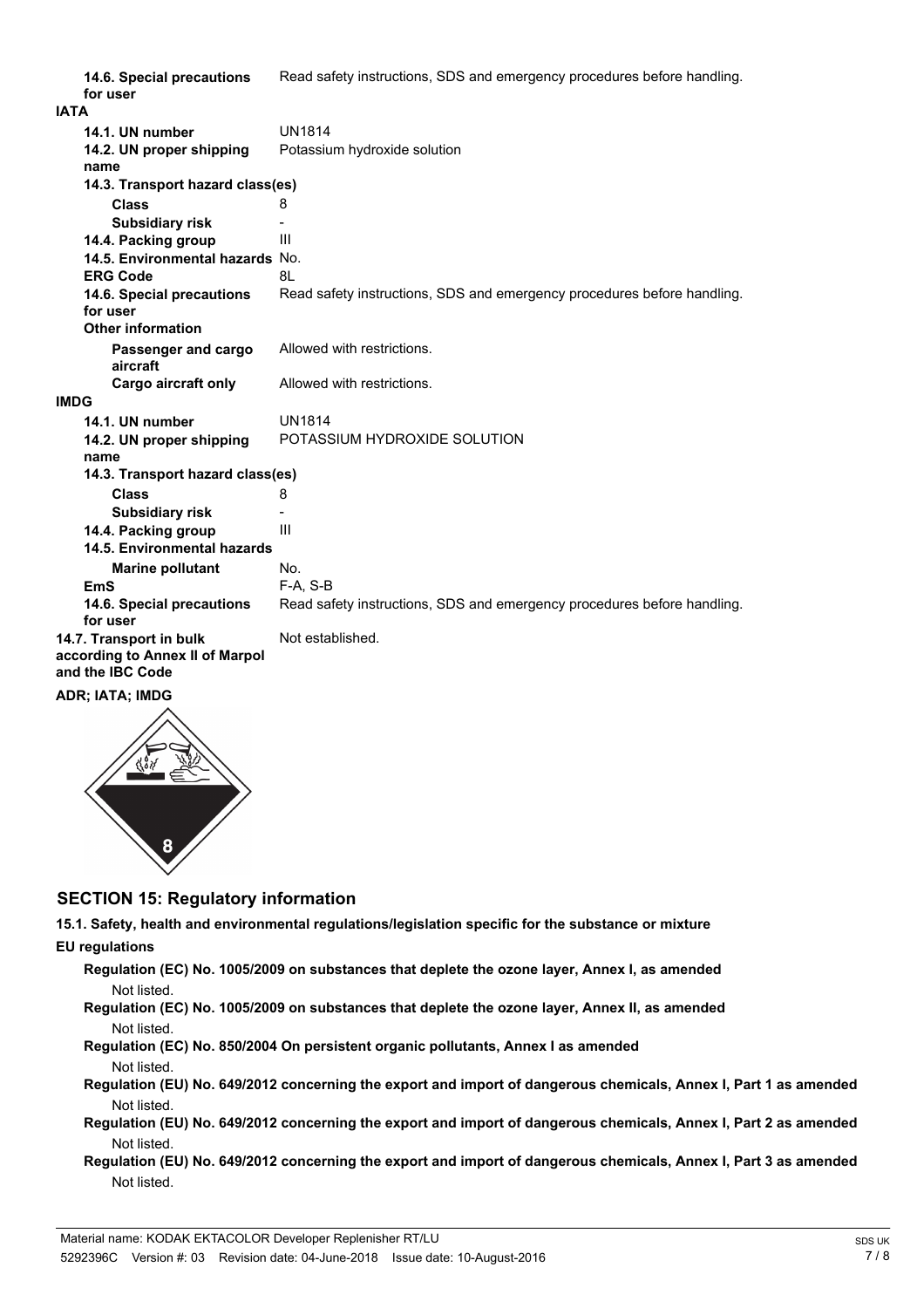|      | 14.6. Special precautions<br>for user                                          | Read safety instructions, SDS and emergency procedures before handling. |
|------|--------------------------------------------------------------------------------|-------------------------------------------------------------------------|
| IATA |                                                                                |                                                                         |
|      | 14.1. UN number                                                                | <b>UN1814</b>                                                           |
|      | 14.2. UN proper shipping                                                       | Potassium hydroxide solution                                            |
|      | name                                                                           |                                                                         |
|      | 14.3. Transport hazard class(es)                                               |                                                                         |
|      | <b>Class</b>                                                                   | 8                                                                       |
|      | <b>Subsidiary risk</b>                                                         |                                                                         |
|      | 14.4. Packing group                                                            | III                                                                     |
|      | 14.5. Environmental hazards No.                                                |                                                                         |
|      | <b>ERG Code</b>                                                                | 81                                                                      |
|      | 14.6. Special precautions                                                      | Read safety instructions, SDS and emergency procedures before handling. |
|      | for user                                                                       |                                                                         |
|      | <b>Other information</b>                                                       |                                                                         |
|      | Passenger and cargo<br>aircraft                                                | Allowed with restrictions.                                              |
|      | Cargo aircraft only                                                            | Allowed with restrictions.                                              |
| IMDG |                                                                                |                                                                         |
|      | 14.1. UN number                                                                | <b>UN1814</b>                                                           |
|      | 14.2. UN proper shipping<br>name                                               | POTASSIUM HYDROXIDE SOLUTION                                            |
|      | 14.3. Transport hazard class(es)                                               |                                                                         |
|      | <b>Class</b>                                                                   | 8                                                                       |
|      | <b>Subsidiary risk</b>                                                         |                                                                         |
|      | 14.4. Packing group                                                            | III                                                                     |
|      | 14.5. Environmental hazards                                                    |                                                                         |
|      | <b>Marine pollutant</b>                                                        | No.                                                                     |
|      | EmS                                                                            | $F-A, S-B$                                                              |
|      | 14.6. Special precautions<br>for user                                          | Read safety instructions, SDS and emergency procedures before handling. |
|      | 14.7. Transport in bulk<br>according to Annex II of Marpol<br>and the IBC Code | Not established.                                                        |
|      | ADR; IATA; IMDG                                                                |                                                                         |



## **SECTION 15: Regulatory information**

**15.1. Safety, health and environmental regulations/legislation specific for the substance or mixture EU regulations**

**Regulation (EC) No. 1005/2009 on substances that deplete the ozone layer, Annex I, as amended** Not listed.

- **Regulation (EC) No. 1005/2009 on substances that deplete the ozone layer, Annex II, as amended** Not listed.
- **Regulation (EC) No. 850/2004 On persistent organic pollutants, Annex I as amended** Not listed.
- **Regulation (EU) No. 649/2012 concerning the export and import of dangerous chemicals, Annex I, Part 1 as amended** Not listed.
- **Regulation (EU) No. 649/2012 concerning the export and import of dangerous chemicals, Annex I, Part 2 as amended** Not listed.
- **Regulation (EU) No. 649/2012 concerning the export and import of dangerous chemicals, Annex I, Part 3 as amended** Not listed.